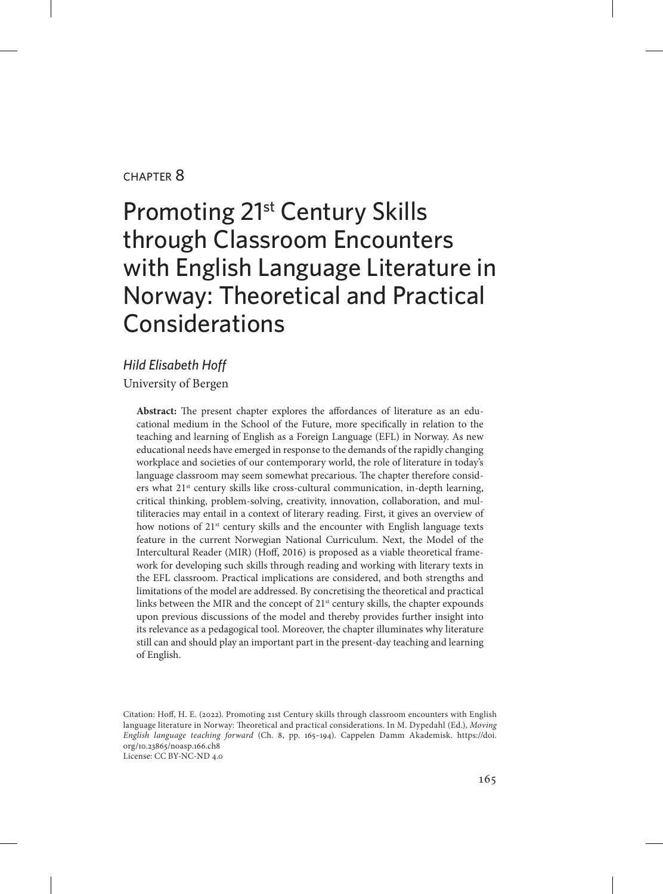#### chapter 8

# Promoting 21st Century Skills through Classroom Encounters with English Language Literature in Norway: Theoretical and Practical **Considerations**

*Hild Elisabeth Hoff* University of Bergen

> **Abstract:** The present chapter explores the affordances of literature as an educational medium in the School of the Future, more specifically in relation to the teaching and learning of English as a Foreign Language (EFL) in Norway. As new educational needs have emerged in response to the demands of the rapidly changing workplace and societies of our contemporary world, the role of literature in today's language classroom may seem somewhat precarious. The chapter therefore considers what 21st century skills like cross-cultural communication, in-depth learning, critical thinking, problem-solving, creativity, innovation, collaboration, and multiliteracies may entail in a context of literary reading. First, it gives an overview of how notions of  $21<sup>st</sup>$  century skills and the encounter with English language texts feature in the current Norwegian National Curriculum. Next, the Model of the Intercultural Reader (MIR) (Hoff, 2016) is proposed as a viable theoretical framework for developing such skills through reading and working with literary texts in the EFL classroom. Practical implications are considered, and both strengths and limitations of the model are addressed. By concretising the theoretical and practical links between the MIR and the concept of 21<sup>st</sup> century skills, the chapter expounds upon previous discussions of the model and thereby provides further insight into its relevance as a pedagogical tool. Moreover, the chapter illuminates why literature still can and should play an important part in the present-day teaching and learning of English.

Citation: Hoff, H. E. (2022). Promoting 21st Century skills through classroom encounters with English language literature in Norway: Theoretical and practical considerations. In M. Dypedahl (Ed.), *Moving English language teaching forward* (Ch. 8, pp. 165–194). Cappelen Damm Akademisk. [https://doi.](https://doi.org/10.23865/noasp.166.ch8) [org/10.23865/noasp.166.ch8](https://doi.org/10.23865/noasp.166.ch8) License: CC BY-NC-ND 4.0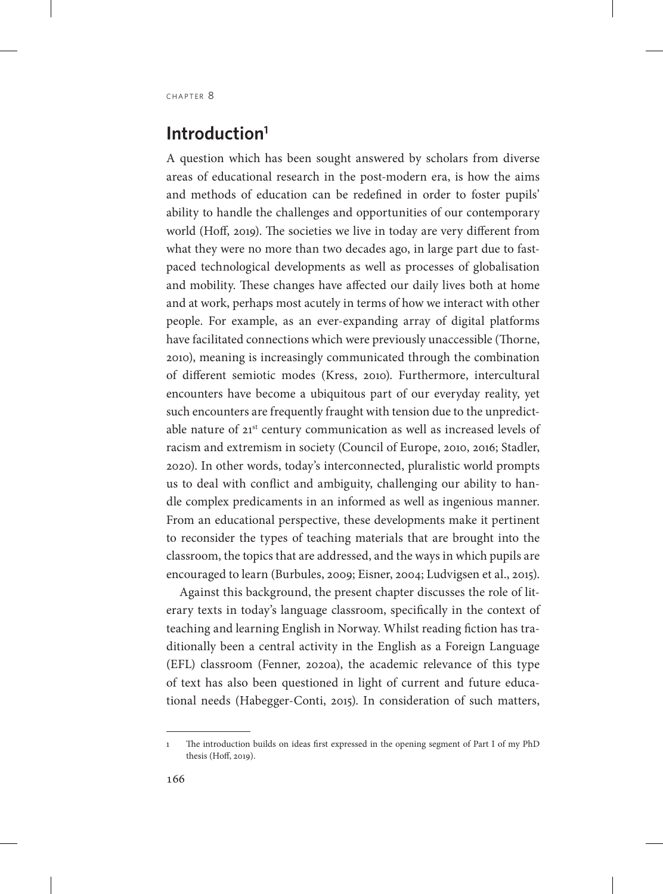## **Introduction1**

A question which has been sought answered by scholars from diverse areas of educational research in the post-modern era, is how the aims and methods of education can be redefined in order to foster pupils' ability to handle the challenges and opportunities of our contemporary world (Hoff, 2019). The societies we live in today are very different from what they were no more than two decades ago, in large part due to fastpaced technological developments as well as processes of globalisation and mobility. These changes have affected our daily lives both at home and at work, perhaps most acutely in terms of how we interact with other people. For example, as an ever-expanding array of digital platforms have facilitated connections which were previously unaccessible (Thorne, 2010), meaning is increasingly communicated through the combination of different semiotic modes (Kress, 2010). Furthermore, intercultural encounters have become a ubiquitous part of our everyday reality, yet such encounters are frequently fraught with tension due to the unpredictable nature of 21<sup>st</sup> century communication as well as increased levels of racism and extremism in society (Council of Europe, 2010, 2016; Stadler, 2020). In other words, today's interconnected, pluralistic world prompts us to deal with conflict and ambiguity, challenging our ability to handle complex predicaments in an informed as well as ingenious manner. From an educational perspective, these developments make it pertinent to reconsider the types of teaching materials that are brought into the classroom, the topics that are addressed, and the ways in which pupils are encouraged to learn (Burbules, 2009; Eisner, 2004; Ludvigsen et al., 2015).

Against this background, the present chapter discusses the role of literary texts in today's language classroom, specifically in the context of teaching and learning English in Norway. Whilst reading fiction has traditionally been a central activity in the English as a Foreign Language (EFL) classroom (Fenner, 2020a), the academic relevance of this type of text has also been questioned in light of current and future educational needs (Habegger-Conti, 2015). In consideration of such matters,

<sup>1</sup> The introduction builds on ideas first expressed in the opening segment of Part I of my PhD thesis (Hoff, 2019).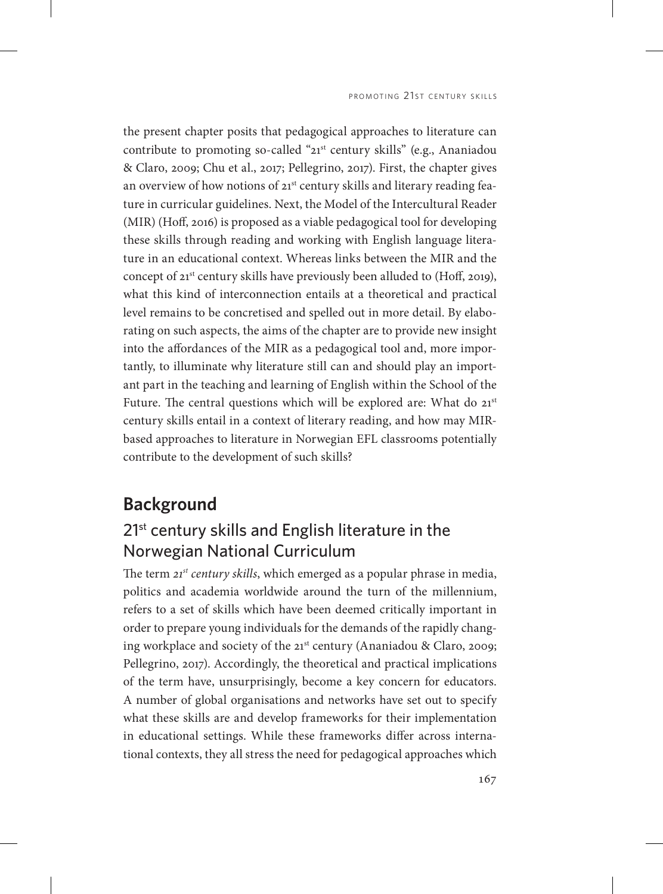the present chapter posits that pedagogical approaches to literature can contribute to promoting so-called "21<sup>st</sup> century skills" (e.g., Ananiadou & Claro, 2009; Chu et al., 2017; Pellegrino, 2017). First, the chapter gives an overview of how notions of 21<sup>st</sup> century skills and literary reading feature in curricular guidelines. Next, the Model of the Intercultural Reader (MIR) (Hoff, 2016) is proposed as a viable pedagogical tool for developing these skills through reading and working with English language literature in an educational context. Whereas links between the MIR and the concept of 21<sup>st</sup> century skills have previously been alluded to (Hoff, 2019), what this kind of interconnection entails at a theoretical and practical level remains to be concretised and spelled out in more detail. By elaborating on such aspects, the aims of the chapter are to provide new insight into the affordances of the MIR as a pedagogical tool and, more importantly, to illuminate why literature still can and should play an important part in the teaching and learning of English within the School of the Future. The central questions which will be explored are: What do 21<sup>st</sup> century skills entail in a context of literary reading, and how may MIRbased approaches to literature in Norwegian EFL classrooms potentially contribute to the development of such skills?

### **Background**

# 21<sup>st</sup> century skills and English literature in the Norwegian National Curriculum

The term *21st century skills*, which emerged as a popular phrase in media, politics and academia worldwide around the turn of the millennium, refers to a set of skills which have been deemed critically important in order to prepare young individuals for the demands of the rapidly changing workplace and society of the 21st century (Ananiadou & Claro, 2009; Pellegrino, 2017). Accordingly, the theoretical and practical implications of the term have, unsurprisingly, become a key concern for educators. A number of global organisations and networks have set out to specify what these skills are and develop frameworks for their implementation in educational settings. While these frameworks differ across international contexts, they all stress the need for pedagogical approaches which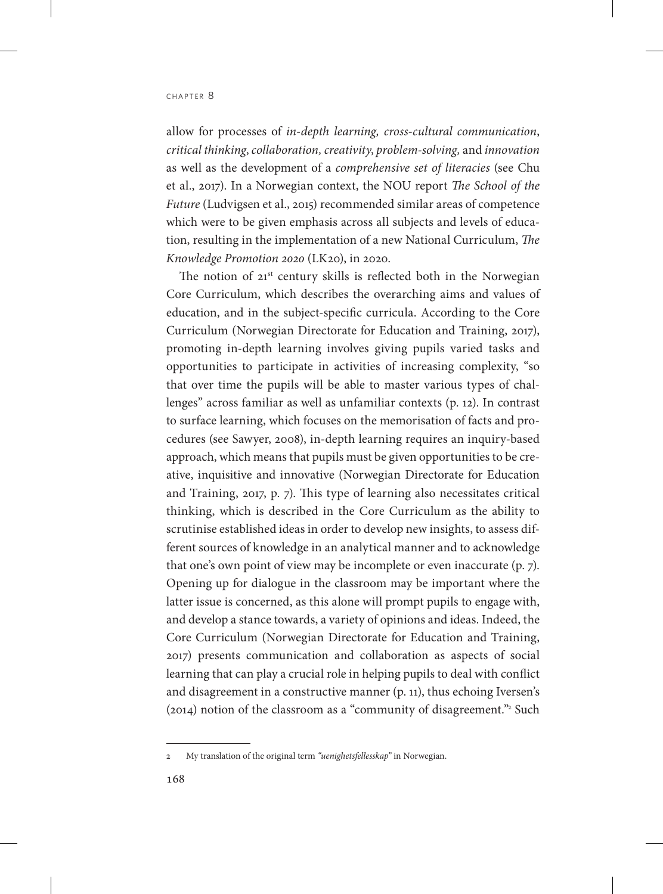allow for processes of *in-depth learning, cross-cultural communication*, *critical thinking*, *collaboration,creativity*, *problem-solving,* and *innovation* as well as the development of a *comprehensive set of literacies* (see Chu et al., 2017). In a Norwegian context, the NOU report *The School of the Future* (Ludvigsen et al., 2015) recommended similar areas of competence which were to be given emphasis across all subjects and levels of education, resulting in the implementation of a new National Curriculum, *The Knowledge Promotion 2020* (LK20), in 2020.

The notion of  $21<sup>st</sup>$  century skills is reflected both in the Norwegian Core Curriculum, which describes the overarching aims and values of education, and in the subject-specific curricula. According to the Core Curriculum (Norwegian Directorate for Education and Training, 2017), promoting in-depth learning involves giving pupils varied tasks and opportunities to participate in activities of increasing complexity, "so that over time the pupils will be able to master various types of challenges" across familiar as well as unfamiliar contexts (p. 12). In contrast to surface learning, which focuses on the memorisation of facts and procedures (see Sawyer, 2008), in-depth learning requires an inquiry-based approach, which means that pupils must be given opportunities to be creative, inquisitive and innovative (Norwegian Directorate for Education and Training, 2017, p. 7). This type of learning also necessitates critical thinking, which is described in the Core Curriculum as the ability to scrutinise established ideas in order to develop new insights, to assess different sources of knowledge in an analytical manner and to acknowledge that one's own point of view may be incomplete or even inaccurate (p. 7). Opening up for dialogue in the classroom may be important where the latter issue is concerned, as this alone will prompt pupils to engage with, and develop a stance towards, a variety of opinions and ideas. Indeed, the Core Curriculum (Norwegian Directorate for Education and Training, 2017) presents communication and collaboration as aspects of social learning that can play a crucial role in helping pupils to deal with conflict and disagreement in a constructive manner (p. 11), thus echoing Iversen's (2014) notion of the classroom as a "community of disagreement."2 Such

<sup>2</sup> My translation of the original term *"uenighetsfellesskap"* in Norwegian.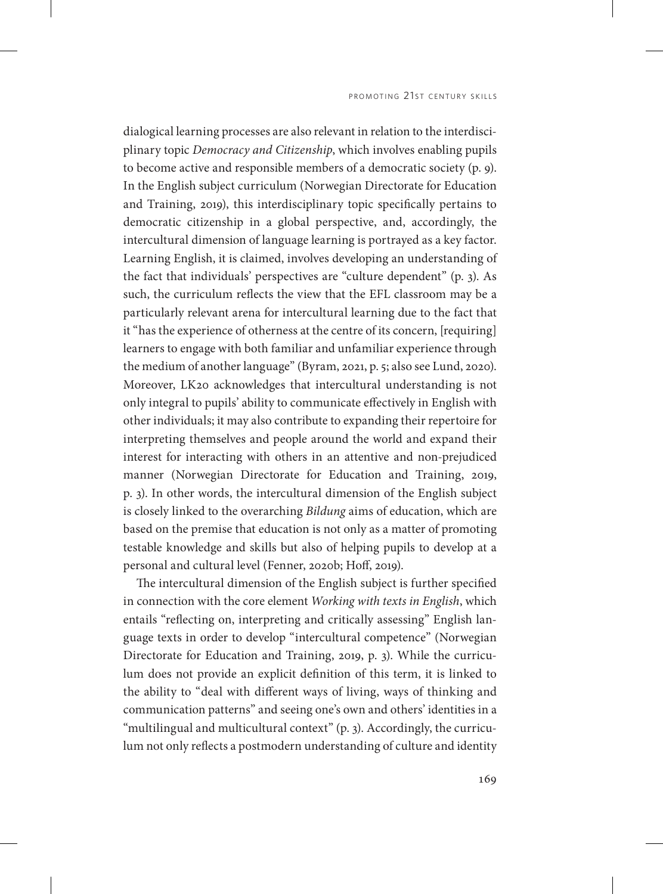dialogical learning processes are also relevant in relation to the interdisciplinary topic *Democracy and Citizenship*, which involves enabling pupils to become active and responsible members of a democratic society (p. 9). In the English subject curriculum (Norwegian Directorate for Education and Training, 2019), this interdisciplinary topic specifically pertains to democratic citizenship in a global perspective, and, accordingly, the intercultural dimension of language learning is portrayed as a key factor. Learning English, it is claimed, involves developing an understanding of the fact that individuals' perspectives are "culture dependent" (p. 3). As such, the curriculum reflects the view that the EFL classroom may be a particularly relevant arena for intercultural learning due to the fact that it "has the experience of otherness at the centre of its concern, [requiring] learners to engage with both familiar and unfamiliar experience through the medium of another language" (Byram, 2021, p. 5; also see Lund, 2020). Moreover, LK20 acknowledges that intercultural understanding is not only integral to pupils' ability to communicate effectively in English with other individuals; it may also contribute to expanding their repertoire for interpreting themselves and people around the world and expand their interest for interacting with others in an attentive and non-prejudiced manner (Norwegian Directorate for Education and Training, 2019, p. 3). In other words, the intercultural dimension of the English subject is closely linked to the overarching *Bildung* aims of education, which are based on the premise that education is not only as a matter of promoting testable knowledge and skills but also of helping pupils to develop at a personal and cultural level (Fenner, 2020b; Hoff, 2019).

The intercultural dimension of the English subject is further specified in connection with the core element *Working with texts in English*, which entails "reflecting on, interpreting and critically assessing" English language texts in order to develop "intercultural competence" (Norwegian Directorate for Education and Training, 2019, p. 3). While the curriculum does not provide an explicit definition of this term, it is linked to the ability to "deal with different ways of living, ways of thinking and communication patterns" and seeing one's own and others' identities in a "multilingual and multicultural context" (p. 3). Accordingly, the curriculum not only reflects a postmodern understanding of culture and identity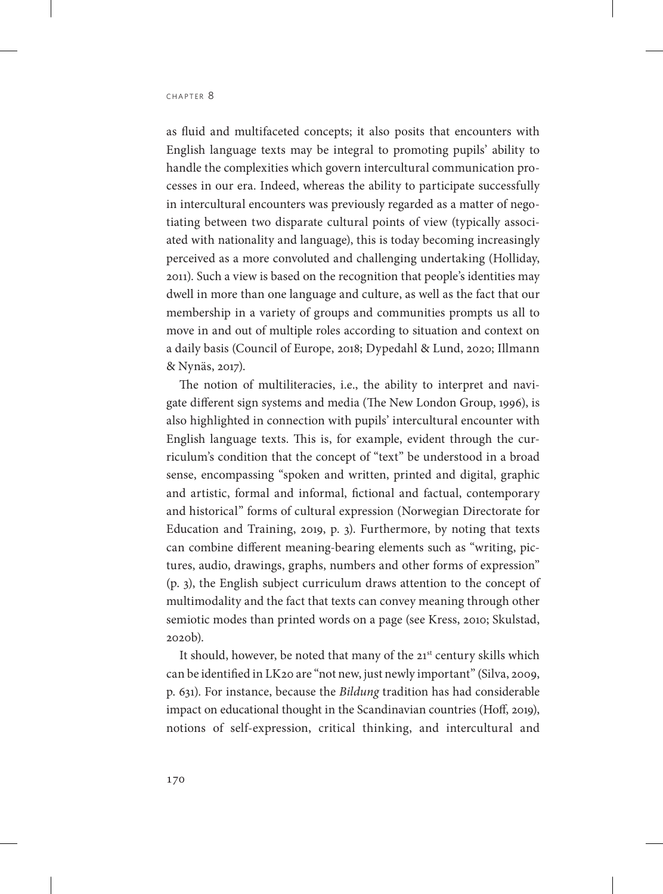as fluid and multifaceted concepts; it also posits that encounters with English language texts may be integral to promoting pupils' ability to handle the complexities which govern intercultural communication processes in our era. Indeed, whereas the ability to participate successfully in intercultural encounters was previously regarded as a matter of negotiating between two disparate cultural points of view (typically associated with nationality and language), this is today becoming increasingly perceived as a more convoluted and challenging undertaking (Holliday, 2011). Such a view is based on the recognition that people's identities may dwell in more than one language and culture, as well as the fact that our membership in a variety of groups and communities prompts us all to move in and out of multiple roles according to situation and context on a daily basis (Council of Europe, 2018; Dypedahl & Lund, 2020; Illmann & Nynäs, 2017).

The notion of multiliteracies, i.e., the ability to interpret and navigate different sign systems and media (The New London Group, 1996), is also highlighted in connection with pupils' intercultural encounter with English language texts. This is, for example, evident through the curriculum's condition that the concept of "text" be understood in a broad sense, encompassing "spoken and written, printed and digital, graphic and artistic, formal and informal, fictional and factual, contemporary and historical" forms of cultural expression (Norwegian Directorate for Education and Training, 2019, p. 3). Furthermore, by noting that texts can combine different meaning-bearing elements such as "writing, pictures, audio, drawings, graphs, numbers and other forms of expression" (p. 3), the English subject curriculum draws attention to the concept of multimodality and the fact that texts can convey meaning through other semiotic modes than printed words on a page (see Kress, 2010; Skulstad, 2020b).

It should, however, be noted that many of the 21<sup>st</sup> century skills which can be identified in LK20 are "not new, just newly important" (Silva, 2009, p. 631). For instance, because the *Bildung* tradition has had considerable impact on educational thought in the Scandinavian countries (Hoff, 2019), notions of self-expression, critical thinking, and intercultural and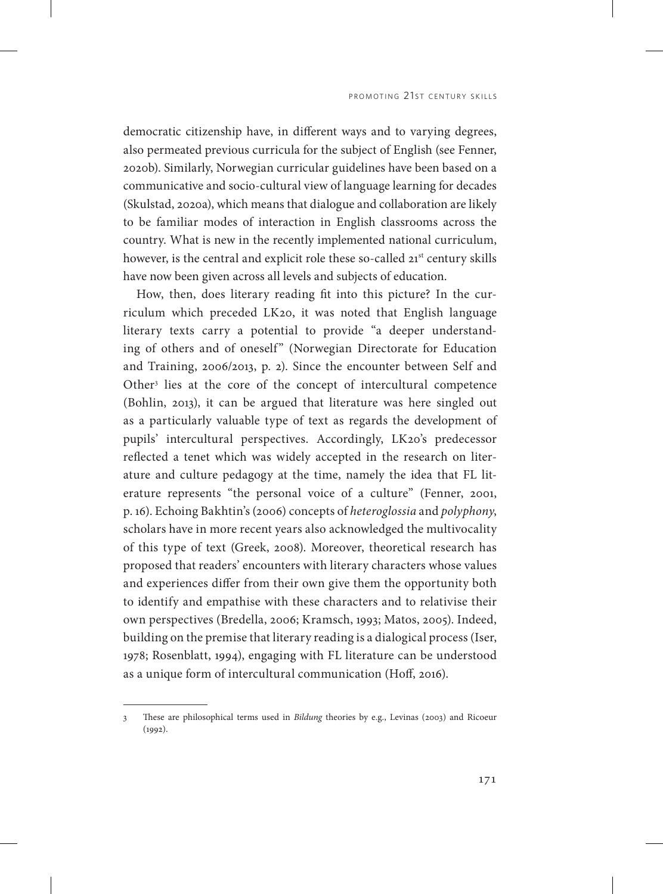democratic citizenship have, in different ways and to varying degrees, also permeated previous curricula for the subject of English (see Fenner, 2020b). Similarly, Norwegian curricular guidelines have been based on a communicative and socio-cultural view of language learning for decades (Skulstad, 2020a), which means that dialogue and collaboration are likely to be familiar modes of interaction in English classrooms across the country. What is new in the recently implemented national curriculum, however, is the central and explicit role these so-called 21<sup>st</sup> century skills have now been given across all levels and subjects of education.

How, then, does literary reading fit into this picture? In the curriculum which preceded LK20, it was noted that English language literary texts carry a potential to provide "a deeper understanding of others and of oneself" (Norwegian Directorate for Education and Training, 2006/2013, p. 2). Since the encounter between Self and Other<sup>3</sup> lies at the core of the concept of intercultural competence (Bohlin, 2013), it can be argued that literature was here singled out as a particularly valuable type of text as regards the development of pupils' intercultural perspectives. Accordingly, LK20's predecessor reflected a tenet which was widely accepted in the research on literature and culture pedagogy at the time, namely the idea that FL literature represents "the personal voice of a culture" (Fenner, 2001, p. 16). Echoing Bakhtin's (2006) concepts of *heteroglossia* and *polyphony*, scholars have in more recent years also acknowledged the multivocality of this type of text (Greek, 2008). Moreover, theoretical research has proposed that readers' encounters with literary characters whose values and experiences differ from their own give them the opportunity both to identify and empathise with these characters and to relativise their own perspectives (Bredella, 2006; Kramsch, 1993; Matos, 2005). Indeed, building on the premise that literary reading is a dialogical process (Iser, 1978; Rosenblatt, 1994), engaging with FL literature can be understood as a unique form of intercultural communication (Hoff, 2016).

<sup>3</sup> These are philosophical terms used in *Bildung* theories by e.g., Levinas (2003) and Ricoeur (1992).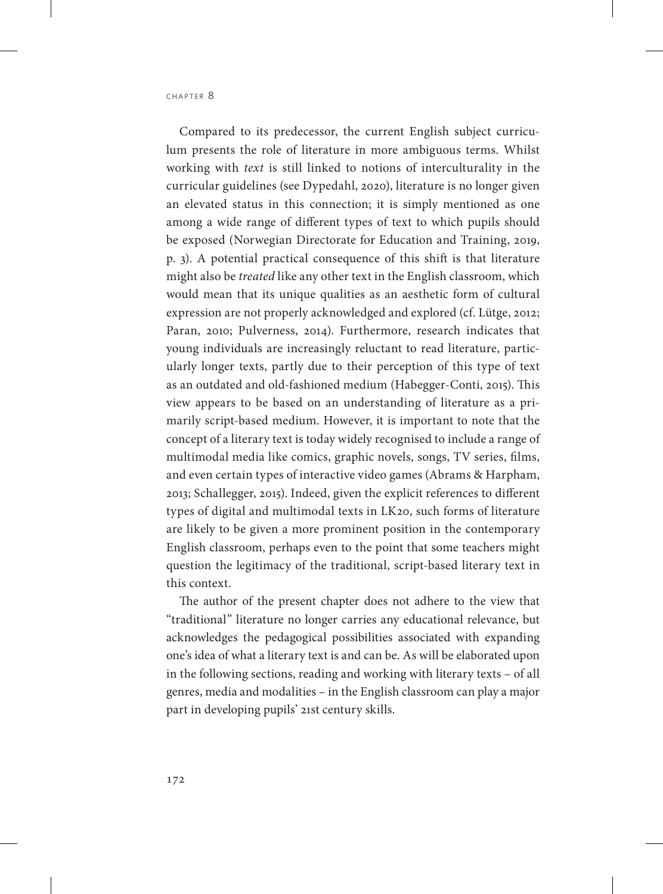Compared to its predecessor, the current English subject curriculum presents the role of literature in more ambiguous terms. Whilst working with *text* is still linked to notions of interculturality in the curricular guidelines (see Dypedahl, 2020), literature is no longer given an elevated status in this connection; it is simply mentioned as one among a wide range of different types of text to which pupils should be exposed (Norwegian Directorate for Education and Training, 2019, p. 3). A potential practical consequence of this shift is that literature might also be *treated* like any other text in the English classroom, which would mean that its unique qualities as an aesthetic form of cultural expression are not properly acknowledged and explored (cf. Lütge, 2012; Paran, 2010; Pulverness, 2014). Furthermore, research indicates that young individuals are increasingly reluctant to read literature, particularly longer texts, partly due to their perception of this type of text as an outdated and old-fashioned medium (Habegger-Conti, 2015). This view appears to be based on an understanding of literature as a primarily script-based medium. However, it is important to note that the concept of a literary text is today widely recognised to include a range of multimodal media like comics, graphic novels, songs, TV series, films, and even certain types of interactive video games (Abrams & Harpham, 2013; Schallegger, 2015). Indeed, given the explicit references to different types of digital and multimodal texts in LK20, such forms of literature are likely to be given a more prominent position in the contemporary English classroom, perhaps even to the point that some teachers might question the legitimacy of the traditional, script-based literary text in this context.

The author of the present chapter does not adhere to the view that "traditional" literature no longer carries any educational relevance, but acknowledges the pedagogical possibilities associated with expanding one's idea of what a literary text is and can be. As will be elaborated upon in the following sections, reading and working with literary texts – of all genres, media and modalities – in the English classroom can play a major part in developing pupils' 21st century skills.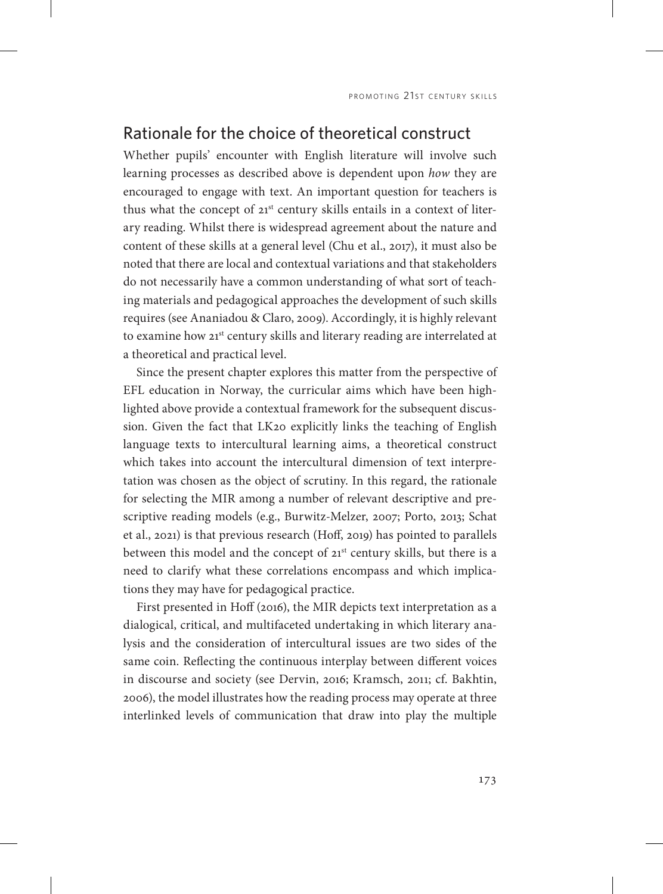#### Rationale for the choice of theoretical construct

Whether pupils' encounter with English literature will involve such learning processes as described above is dependent upon *how* they are encouraged to engage with text. An important question for teachers is thus what the concept of  $21^{st}$  century skills entails in a context of literary reading. Whilst there is widespread agreement about the nature and content of these skills at a general level (Chu et al., 2017), it must also be noted that there are local and contextual variations and that stakeholders do not necessarily have a common understanding of what sort of teaching materials and pedagogical approaches the development of such skills requires (see Ananiadou & Claro, 2009). Accordingly, it is highly relevant to examine how 21<sup>st</sup> century skills and literary reading are interrelated at a theoretical and practical level.

Since the present chapter explores this matter from the perspective of EFL education in Norway, the curricular aims which have been highlighted above provide a contextual framework for the subsequent discussion. Given the fact that LK20 explicitly links the teaching of English language texts to intercultural learning aims, a theoretical construct which takes into account the intercultural dimension of text interpretation was chosen as the object of scrutiny. In this regard, the rationale for selecting the MIR among a number of relevant descriptive and prescriptive reading models (e.g., Burwitz-Melzer, 2007; Porto, 2013; Schat et al., 2021) is that previous research (Hoff, 2019) has pointed to parallels between this model and the concept of  $21^{st}$  century skills, but there is a need to clarify what these correlations encompass and which implications they may have for pedagogical practice.

First presented in Hoff (2016), the MIR depicts text interpretation as a dialogical, critical, and multifaceted undertaking in which literary analysis and the consideration of intercultural issues are two sides of the same coin. Reflecting the continuous interplay between different voices in discourse and society (see Dervin, 2016; Kramsch, 2011; cf. Bakhtin, 2006), the model illustrates how the reading process may operate at three interlinked levels of communication that draw into play the multiple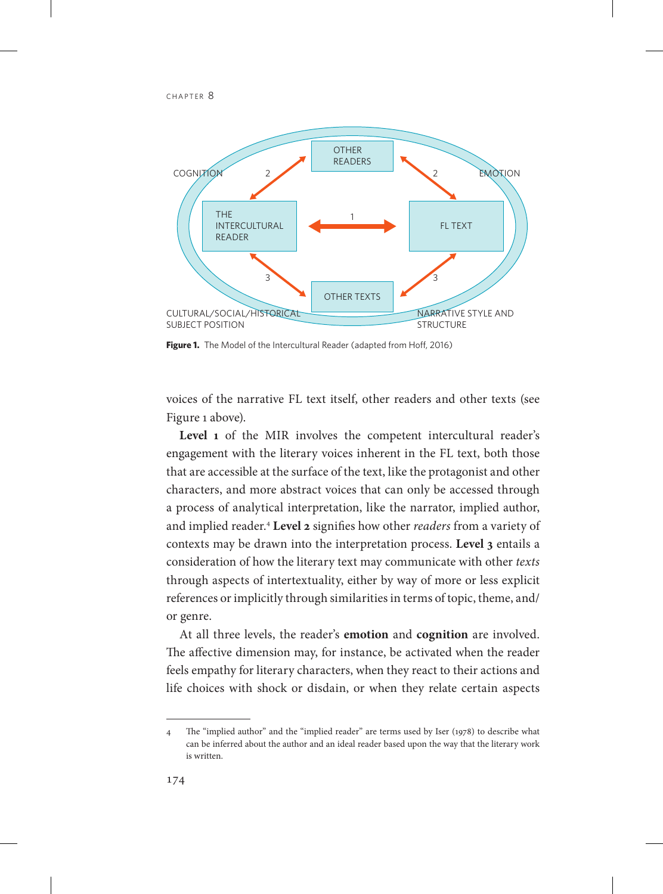

**Figure 1.** The Model of the Intercultural Reader (adapted from Hoff, 2016)

voices of the narrative FL text itself, other readers and other texts (see Figure 1 above).

Level 1 of the MIR involves the competent intercultural reader's engagement with the literary voices inherent in the FL text, both those that are accessible at the surface of the text, like the protagonist and other characters, and more abstract voices that can only be accessed through a process of analytical interpretation, like the narrator, implied author, and implied reader.4 **Level 2** signifies how other *readers* from a variety of contexts may be drawn into the interpretation process. **Level 3** entails a consideration of how the literary text may communicate with other *texts*  through aspects of intertextuality, either by way of more or less explicit references or implicitly through similarities in terms of topic, theme, and/ or genre.

At all three levels, the reader's **emotion** and **cognition** are involved. The affective dimension may, for instance, be activated when the reader feels empathy for literary characters, when they react to their actions and life choices with shock or disdain, or when they relate certain aspects

<sup>4</sup> The "implied author" and the "implied reader" are terms used by Iser (1978) to describe what can be inferred about the author and an ideal reader based upon the way that the literary work is written.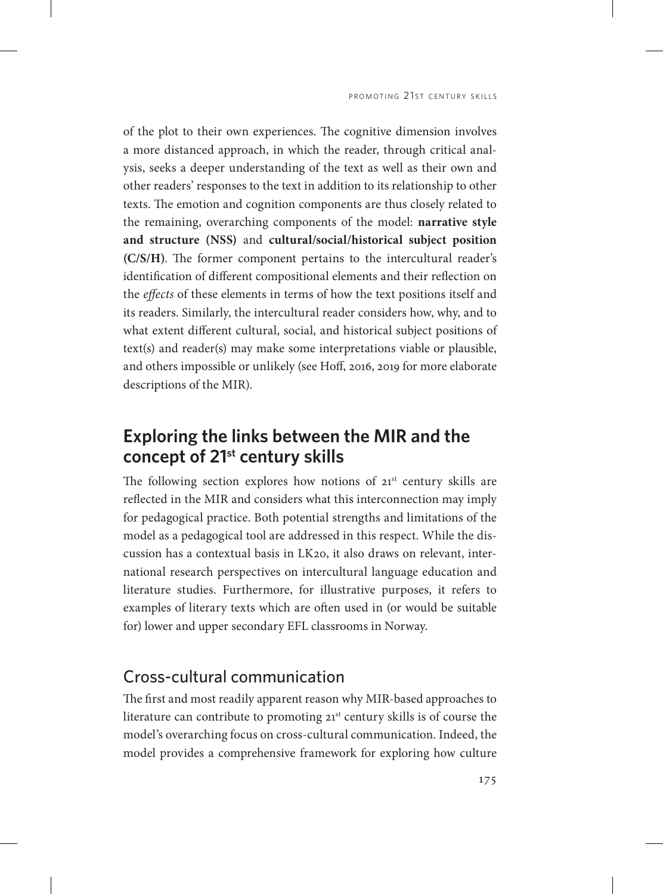of the plot to their own experiences. The cognitive dimension involves a more distanced approach, in which the reader, through critical analysis, seeks a deeper understanding of the text as well as their own and other readers' responses to the text in addition to its relationship to other texts. The emotion and cognition components are thus closely related to the remaining, overarching components of the model: **narrative style and structure (NSS)** and **cultural/social/historical subject position (C/S/H)**. The former component pertains to the intercultural reader's identification of different compositional elements and their reflection on the *effects* of these elements in terms of how the text positions itself and its readers. Similarly, the intercultural reader considers how, why, and to what extent different cultural, social, and historical subject positions of text(s) and reader(s) may make some interpretations viable or plausible, and others impossible or unlikely (see Hoff, 2016, 2019 for more elaborate descriptions of the MIR).

# **Exploring the links between the MIR and the concept of 21st century skills**

The following section explores how notions of  $21<sup>st</sup>$  century skills are reflected in the MIR and considers what this interconnection may imply for pedagogical practice. Both potential strengths and limitations of the model as a pedagogical tool are addressed in this respect. While the discussion has a contextual basis in LK20, it also draws on relevant, international research perspectives on intercultural language education and literature studies. Furthermore, for illustrative purposes, it refers to examples of literary texts which are often used in (or would be suitable for) lower and upper secondary EFL classrooms in Norway.

### Cross-cultural communication

The first and most readily apparent reason why MIR-based approaches to literature can contribute to promoting 21<sup>st</sup> century skills is of course the model's overarching focus on cross-cultural communication. Indeed, the model provides a comprehensive framework for exploring how culture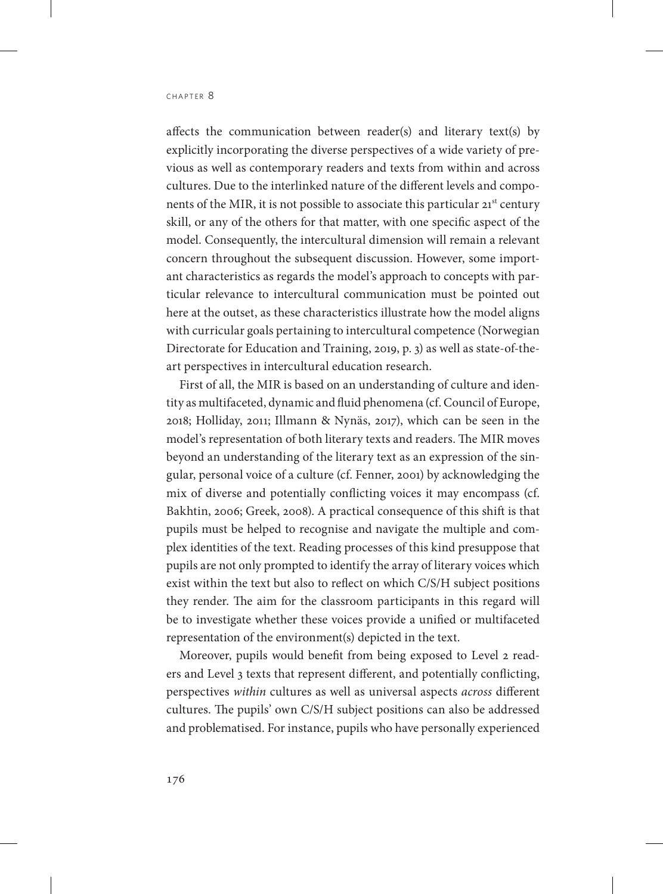affects the communication between reader(s) and literary text(s) by explicitly incorporating the diverse perspectives of a wide variety of previous as well as contemporary readers and texts from within and across cultures. Due to the interlinked nature of the different levels and components of the MIR, it is not possible to associate this particular 21<sup>st</sup> century skill, or any of the others for that matter, with one specific aspect of the model. Consequently, the intercultural dimension will remain a relevant concern throughout the subsequent discussion. However, some important characteristics as regards the model's approach to concepts with particular relevance to intercultural communication must be pointed out here at the outset, as these characteristics illustrate how the model aligns with curricular goals pertaining to intercultural competence (Norwegian Directorate for Education and Training, 2019, p. 3) as well as state-of-theart perspectives in intercultural education research.

First of all, the MIR is based on an understanding of culture and identity as multifaceted, dynamic and fluid phenomena (cf. Council of Europe, 2018; Holliday, 2011; Illmann & Nynäs, 2017), which can be seen in the model's representation of both literary texts and readers. The MIR moves beyond an understanding of the literary text as an expression of the singular, personal voice of a culture (cf. Fenner, 2001) by acknowledging the mix of diverse and potentially conflicting voices it may encompass (cf. Bakhtin, 2006; Greek, 2008). A practical consequence of this shift is that pupils must be helped to recognise and navigate the multiple and complex identities of the text. Reading processes of this kind presuppose that pupils are not only prompted to identify the array of literary voices which exist within the text but also to reflect on which C/S/H subject positions they render. The aim for the classroom participants in this regard will be to investigate whether these voices provide a unified or multifaceted representation of the environment(s) depicted in the text.

Moreover, pupils would benefit from being exposed to Level 2 readers and Level 3 texts that represent different, and potentially conflicting, perspectives *within* cultures as well as universal aspects *across* different cultures. The pupils' own C/S/H subject positions can also be addressed and problematised. For instance, pupils who have personally experienced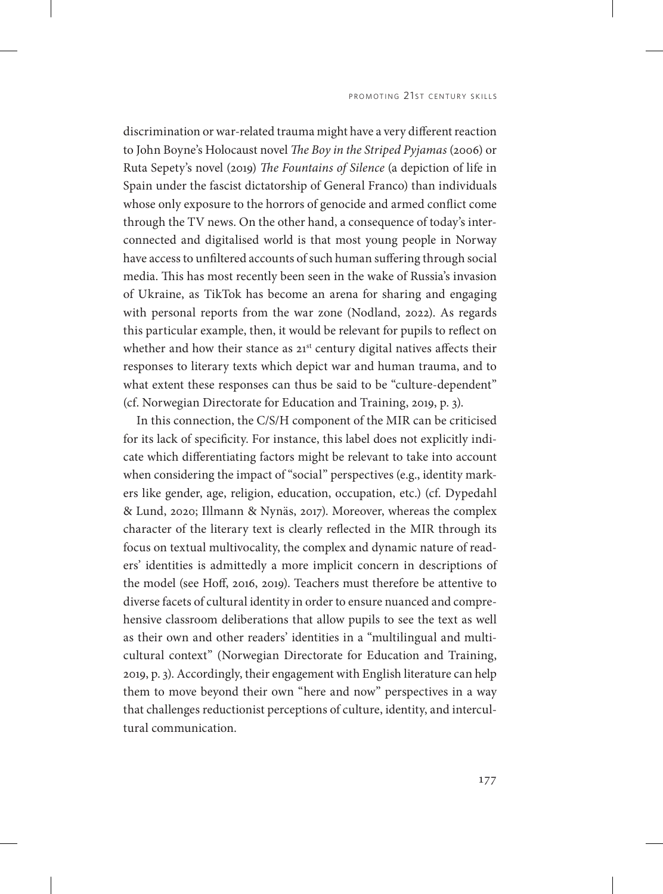discrimination or war-related trauma might have a very different reaction to John Boyne's Holocaust novel *The Boy in the Striped Pyjamas* (2006) or Ruta Sepety's novel (2019) *The Fountains of Silence* (a depiction of life in Spain under the fascist dictatorship of General Franco) than individuals whose only exposure to the horrors of genocide and armed conflict come through the TV news. On the other hand, a consequence of today's interconnected and digitalised world is that most young people in Norway have access to unfiltered accounts of such human suffering through social media. This has most recently been seen in the wake of Russia's invasion of Ukraine, as TikTok has become an arena for sharing and engaging with personal reports from the war zone (Nodland, 2022). As regards this particular example, then, it would be relevant for pupils to reflect on whether and how their stance as 21<sup>st</sup> century digital natives affects their responses to literary texts which depict war and human trauma, and to what extent these responses can thus be said to be "culture-dependent" (cf. Norwegian Directorate for Education and Training, 2019, p. 3).

In this connection, the C/S/H component of the MIR can be criticised for its lack of specificity. For instance, this label does not explicitly indicate which differentiating factors might be relevant to take into account when considering the impact of "social" perspectives (e.g., identity markers like gender, age, religion, education, occupation, etc.) (cf. Dypedahl & Lund, 2020; Illmann & Nynäs, 2017). Moreover, whereas the complex character of the literary text is clearly reflected in the MIR through its focus on textual multivocality, the complex and dynamic nature of readers' identities is admittedly a more implicit concern in descriptions of the model (see Hoff, 2016, 2019). Teachers must therefore be attentive to diverse facets of cultural identity in order to ensure nuanced and comprehensive classroom deliberations that allow pupils to see the text as well as their own and other readers' identities in a "multilingual and multicultural context" (Norwegian Directorate for Education and Training, 2019, p. 3). Accordingly, their engagement with English literature can help them to move beyond their own "here and now" perspectives in a way that challenges reductionist perceptions of culture, identity, and intercultural communication.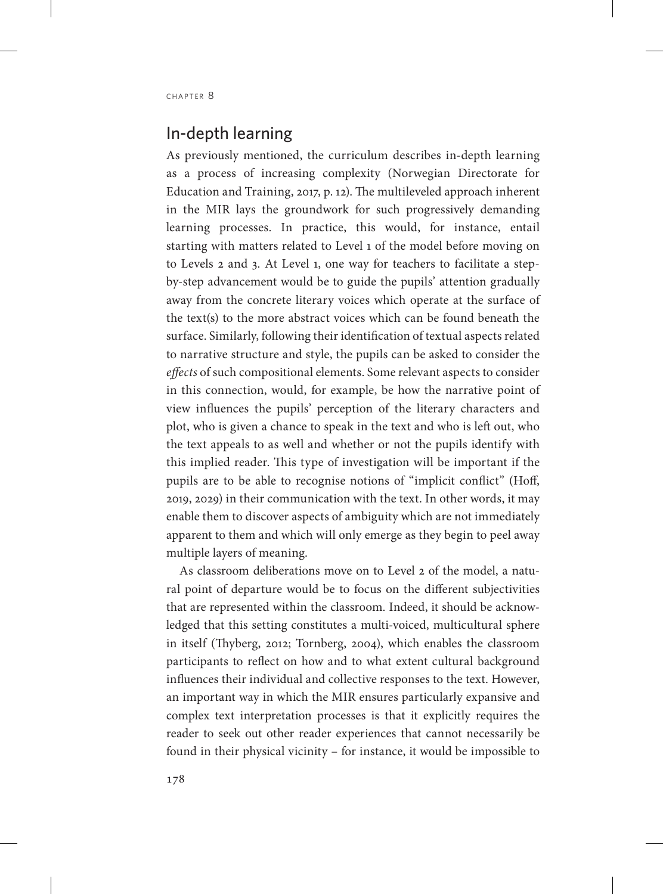## In-depth learning

As previously mentioned, the curriculum describes in-depth learning as a process of increasing complexity (Norwegian Directorate for Education and Training, 2017, p. 12). The multileveled approach inherent in the MIR lays the groundwork for such progressively demanding learning processes. In practice, this would, for instance, entail starting with matters related to Level 1 of the model before moving on to Levels 2 and 3. At Level 1, one way for teachers to facilitate a stepby-step advancement would be to guide the pupils' attention gradually away from the concrete literary voices which operate at the surface of the text(s) to the more abstract voices which can be found beneath the surface. Similarly, following their identification of textual aspects related to narrative structure and style, the pupils can be asked to consider the *effects* of such compositional elements. Some relevant aspects to consider in this connection, would, for example, be how the narrative point of view influences the pupils' perception of the literary characters and plot, who is given a chance to speak in the text and who is left out, who the text appeals to as well and whether or not the pupils identify with this implied reader. This type of investigation will be important if the pupils are to be able to recognise notions of "implicit conflict" (Hoff, 2019, 2029) in their communication with the text. In other words, it may enable them to discover aspects of ambiguity which are not immediately apparent to them and which will only emerge as they begin to peel away multiple layers of meaning.

As classroom deliberations move on to Level 2 of the model, a natural point of departure would be to focus on the different subjectivities that are represented within the classroom. Indeed, it should be acknowledged that this setting constitutes a multi-voiced, multicultural sphere in itself (Thyberg, 2012; Tornberg, 2004), which enables the classroom participants to reflect on how and to what extent cultural background influences their individual and collective responses to the text. However, an important way in which the MIR ensures particularly expansive and complex text interpretation processes is that it explicitly requires the reader to seek out other reader experiences that cannot necessarily be found in their physical vicinity – for instance, it would be impossible to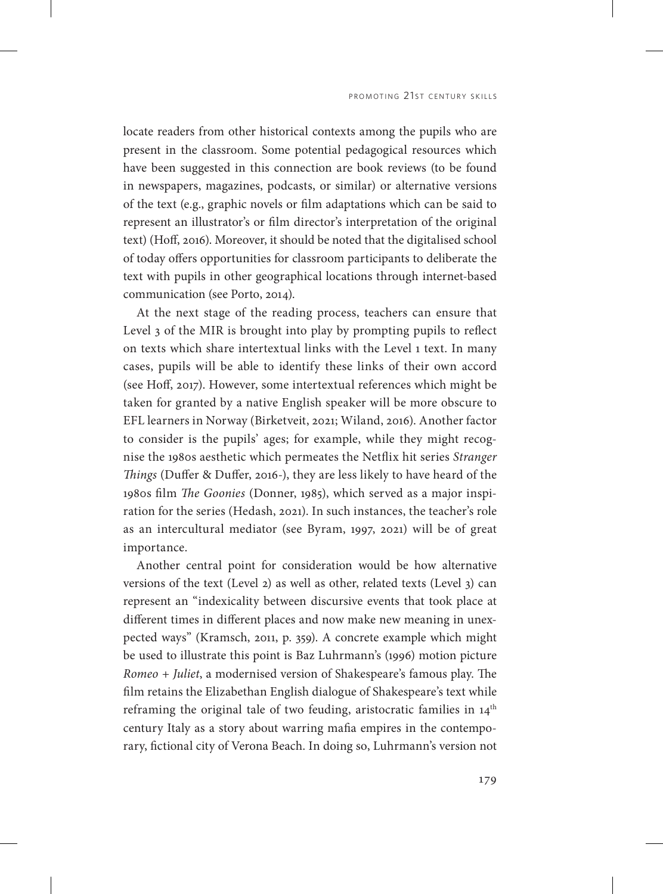locate readers from other historical contexts among the pupils who are present in the classroom. Some potential pedagogical resources which have been suggested in this connection are book reviews (to be found in newspapers, magazines, podcasts, or similar) or alternative versions of the text (e.g., graphic novels or film adaptations which can be said to represent an illustrator's or film director's interpretation of the original text) (Hoff, 2016). Moreover, it should be noted that the digitalised school of today offers opportunities for classroom participants to deliberate the text with pupils in other geographical locations through internet-based communication (see Porto, 2014).

At the next stage of the reading process, teachers can ensure that Level 3 of the MIR is brought into play by prompting pupils to reflect on texts which share intertextual links with the Level 1 text. In many cases, pupils will be able to identify these links of their own accord (see Hoff, 2017). However, some intertextual references which might be taken for granted by a native English speaker will be more obscure to EFL learners in Norway (Birketveit, 2021; Wiland, 2016). Another factor to consider is the pupils' ages; for example, while they might recognise the 1980s aesthetic which permeates the Netflix hit series *Stranger Things* (Duffer & Duffer, 2016-), they are less likely to have heard of the 1980s film *The Goonies* (Donner, 1985), which served as a major inspiration for the series (Hedash, 2021). In such instances, the teacher's role as an intercultural mediator (see Byram, 1997, 2021) will be of great importance.

Another central point for consideration would be how alternative versions of the text (Level 2) as well as other, related texts (Level 3) can represent an "indexicality between discursive events that took place at different times in different places and now make new meaning in unexpected ways" (Kramsch, 2011, p. 359). A concrete example which might be used to illustrate this point is Baz Luhrmann's (1996) motion picture *Romeo + Juliet*, a modernised version of Shakespeare's famous play. The film retains the Elizabethan English dialogue of Shakespeare's text while reframing the original tale of two feuding, aristocratic families in 14<sup>th</sup> century Italy as a story about warring mafia empires in the contemporary, fictional city of Verona Beach. In doing so, Luhrmann's version not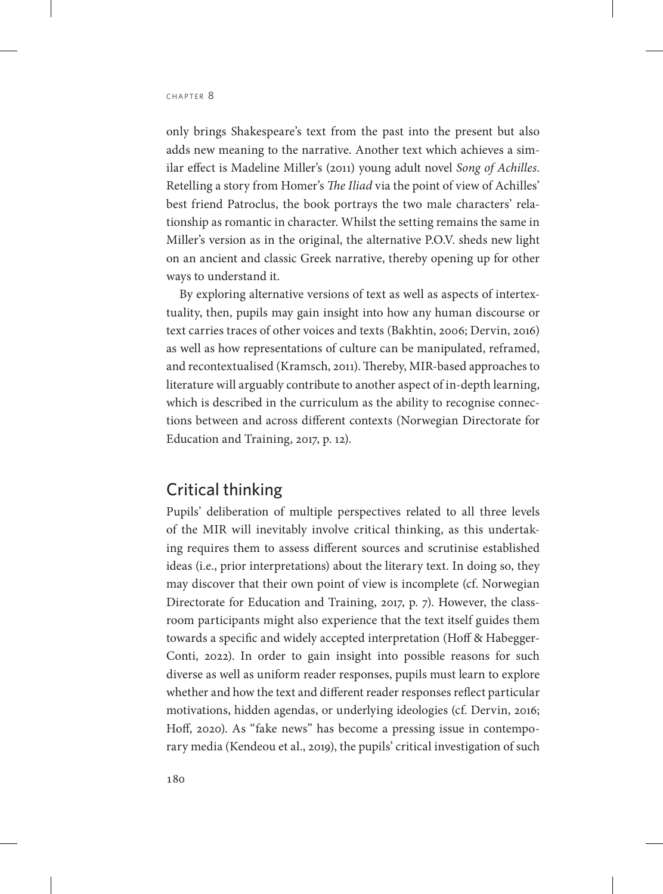only brings Shakespeare's text from the past into the present but also adds new meaning to the narrative. Another text which achieves a similar effect is Madeline Miller's (2011) young adult novel *Song of Achilles*. Retelling a story from Homer's *The Iliad* via the point of view of Achilles' best friend Patroclus, the book portrays the two male characters' relationship as romantic in character. Whilst the setting remains the same in Miller's version as in the original, the alternative P.O.V. sheds new light on an ancient and classic Greek narrative, thereby opening up for other ways to understand it.

By exploring alternative versions of text as well as aspects of intertextuality, then, pupils may gain insight into how any human discourse or text carries traces of other voices and texts (Bakhtin, 2006; Dervin, 2016) as well as how representations of culture can be manipulated, reframed, and recontextualised (Kramsch, 2011). Thereby, MIR-based approaches to literature will arguably contribute to another aspect of in-depth learning, which is described in the curriculum as the ability to recognise connections between and across different contexts (Norwegian Directorate for Education and Training, 2017, p. 12).

#### Critical thinking

Pupils' deliberation of multiple perspectives related to all three levels of the MIR will inevitably involve critical thinking, as this undertaking requires them to assess different sources and scrutinise established ideas (i.e., prior interpretations) about the literary text. In doing so, they may discover that their own point of view is incomplete (cf. Norwegian Directorate for Education and Training, 2017, p. 7). However, the classroom participants might also experience that the text itself guides them towards a specific and widely accepted interpretation (Hoff & Habegger-Conti, 2022). In order to gain insight into possible reasons for such diverse as well as uniform reader responses, pupils must learn to explore whether and how the text and different reader responses reflect particular motivations, hidden agendas, or underlying ideologies (cf. Dervin, 2016; Hoff, 2020). As "fake news" has become a pressing issue in contemporary media (Kendeou et al., 2019), the pupils' critical investigation of such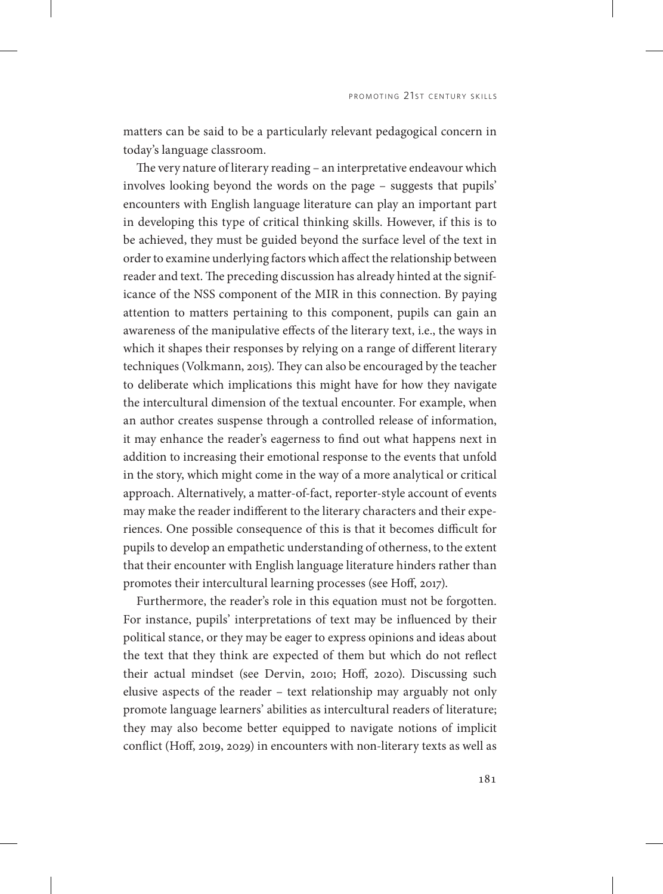matters can be said to be a particularly relevant pedagogical concern in today's language classroom.

The very nature of literary reading – an interpretative endeavour which involves looking beyond the words on the page – suggests that pupils' encounters with English language literature can play an important part in developing this type of critical thinking skills. However, if this is to be achieved, they must be guided beyond the surface level of the text in order to examine underlying factors which affect the relationship between reader and text. The preceding discussion has already hinted at the significance of the NSS component of the MIR in this connection. By paying attention to matters pertaining to this component, pupils can gain an awareness of the manipulative effects of the literary text, i.e., the ways in which it shapes their responses by relying on a range of different literary techniques (Volkmann, 2015). They can also be encouraged by the teacher to deliberate which implications this might have for how they navigate the intercultural dimension of the textual encounter. For example, when an author creates suspense through a controlled release of information, it may enhance the reader's eagerness to find out what happens next in addition to increasing their emotional response to the events that unfold in the story, which might come in the way of a more analytical or critical approach. Alternatively, a matter-of-fact, reporter-style account of events may make the reader indifferent to the literary characters and their experiences. One possible consequence of this is that it becomes difficult for pupils to develop an empathetic understanding of otherness, to the extent that their encounter with English language literature hinders rather than promotes their intercultural learning processes (see Hoff, 2017).

Furthermore, the reader's role in this equation must not be forgotten. For instance, pupils' interpretations of text may be influenced by their political stance, or they may be eager to express opinions and ideas about the text that they think are expected of them but which do not reflect their actual mindset (see Dervin, 2010; Hoff, 2020). Discussing such elusive aspects of the reader – text relationship may arguably not only promote language learners' abilities as intercultural readers of literature; they may also become better equipped to navigate notions of implicit conflict (Hoff, 2019, 2029) in encounters with non-literary texts as well as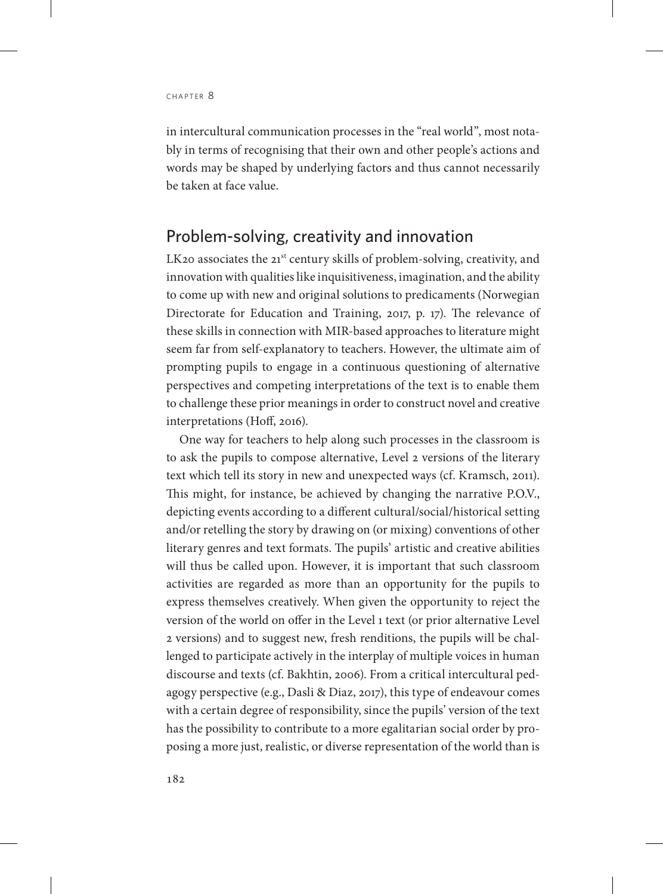in intercultural communication processes in the "real world", most notably in terms of recognising that their own and other people's actions and words may be shaped by underlying factors and thus cannot necessarily be taken at face value.

#### Problem-solving, creativity and innovation

LK20 associates the 21<sup>st</sup> century skills of problem-solving, creativity, and innovation with qualities like inquisitiveness, imagination, and the ability to come up with new and original solutions to predicaments (Norwegian Directorate for Education and Training, 2017, p. 17). The relevance of these skills in connection with MIR-based approaches to literature might seem far from self-explanatory to teachers. However, the ultimate aim of prompting pupils to engage in a continuous questioning of alternative perspectives and competing interpretations of the text is to enable them to challenge these prior meanings in order to construct novel and creative interpretations (Hoff, 2016).

One way for teachers to help along such processes in the classroom is to ask the pupils to compose alternative, Level 2 versions of the literary text which tell its story in new and unexpected ways (cf. Kramsch, 2011). This might, for instance, be achieved by changing the narrative P.O.V., depicting events according to a different cultural/social/historical setting and/or retelling the story by drawing on (or mixing) conventions of other literary genres and text formats. The pupils' artistic and creative abilities will thus be called upon. However, it is important that such classroom activities are regarded as more than an opportunity for the pupils to express themselves creatively. When given the opportunity to reject the version of the world on offer in the Level 1 text (or prior alternative Level 2 versions) and to suggest new, fresh renditions, the pupils will be challenged to participate actively in the interplay of multiple voices in human discourse and texts (cf. Bakhtin, 2006). From a critical intercultural pedagogy perspective (e.g., Dasli & Diaz, 2017), this type of endeavour comes with a certain degree of responsibility, since the pupils' version of the text has the possibility to contribute to a more egalitarian social order by proposing a more just, realistic, or diverse representation of the world than is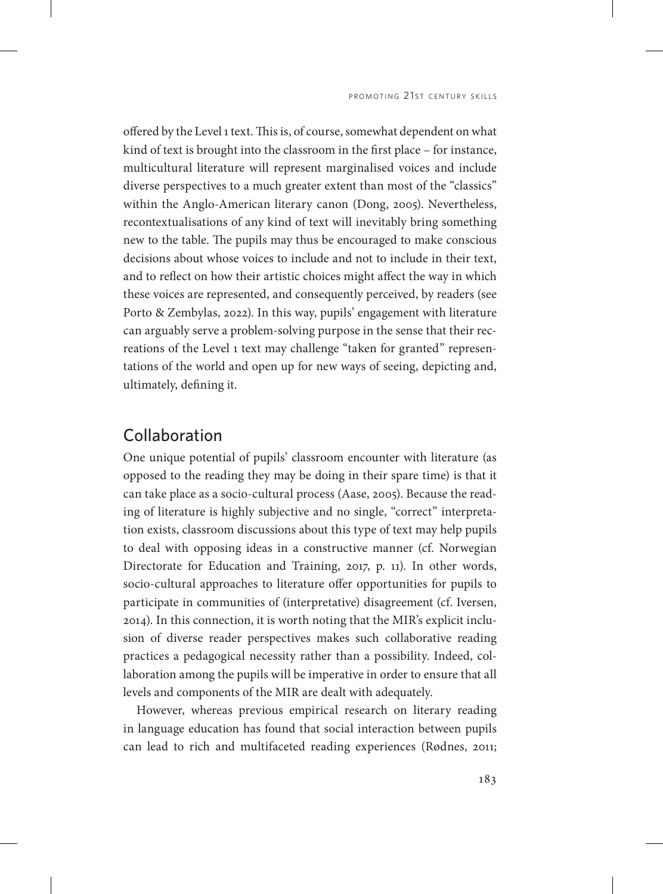offered by the Level 1 text. This is, of course, somewhat dependent on what kind of text is brought into the classroom in the first place – for instance, multicultural literature will represent marginalised voices and include diverse perspectives to a much greater extent than most of the "classics" within the Anglo-American literary canon (Dong, 2005). Nevertheless, recontextualisations of any kind of text will inevitably bring something new to the table. The pupils may thus be encouraged to make conscious decisions about whose voices to include and not to include in their text, and to reflect on how their artistic choices might affect the way in which these voices are represented, and consequently perceived, by readers (see Porto & Zembylas, 2022). In this way, pupils' engagement with literature can arguably serve a problem-solving purpose in the sense that their recreations of the Level 1 text may challenge "taken for granted" representations of the world and open up for new ways of seeing, depicting and, ultimately, defining it.

#### Collaboration

One unique potential of pupils' classroom encounter with literature (as opposed to the reading they may be doing in their spare time) is that it can take place as a socio-cultural process (Aase, 2005). Because the reading of literature is highly subjective and no single, "correct" interpretation exists, classroom discussions about this type of text may help pupils to deal with opposing ideas in a constructive manner (cf. Norwegian Directorate for Education and Training, 2017, p. 11). In other words, socio-cultural approaches to literature offer opportunities for pupils to participate in communities of (interpretative) disagreement (cf. Iversen, 2014). In this connection, it is worth noting that the MIR's explicit inclusion of diverse reader perspectives makes such collaborative reading practices a pedagogical necessity rather than a possibility. Indeed, collaboration among the pupils will be imperative in order to ensure that all levels and components of the MIR are dealt with adequately.

However, whereas previous empirical research on literary reading in language education has found that social interaction between pupils can lead to rich and multifaceted reading experiences (Rødnes, 2011;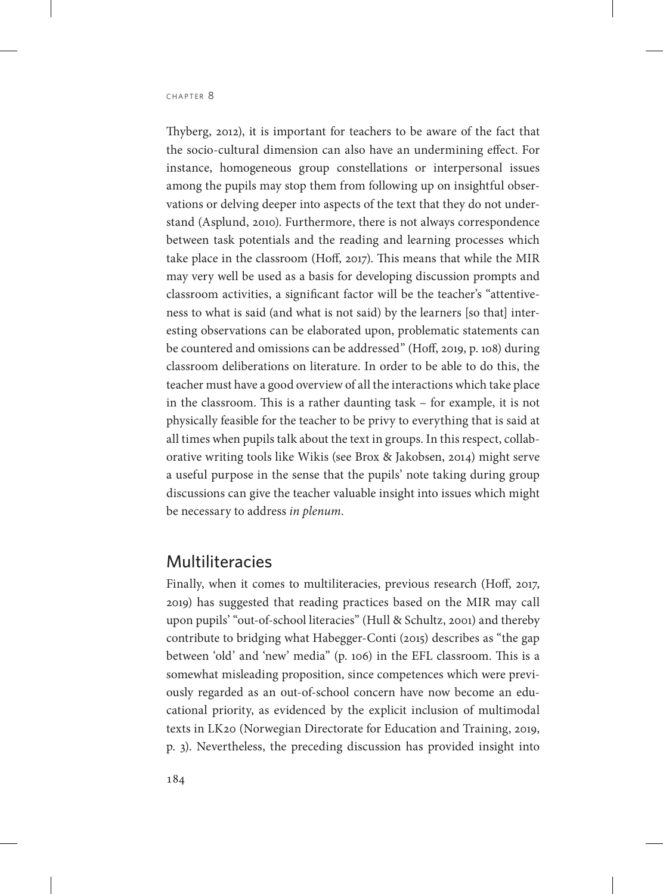Thyberg, 2012), it is important for teachers to be aware of the fact that the socio-cultural dimension can also have an undermining effect. For instance, homogeneous group constellations or interpersonal issues among the pupils may stop them from following up on insightful observations or delving deeper into aspects of the text that they do not understand (Asplund, 2010). Furthermore, there is not always correspondence between task potentials and the reading and learning processes which take place in the classroom (Hoff, 2017). This means that while the MIR may very well be used as a basis for developing discussion prompts and classroom activities, a significant factor will be the teacher's "attentiveness to what is said (and what is not said) by the learners [so that] interesting observations can be elaborated upon, problematic statements can be countered and omissions can be addressed" (Hoff, 2019, p. 108) during classroom deliberations on literature. In order to be able to do this, the teacher must have a good overview of all the interactions which take place in the classroom. This is a rather daunting task – for example, it is not physically feasible for the teacher to be privy to everything that is said at all times when pupils talk about the text in groups. In this respect, collaborative writing tools like Wikis (see Brox & Jakobsen, 2014) might serve a useful purpose in the sense that the pupils' note taking during group discussions can give the teacher valuable insight into issues which might be necessary to address *in plenum*.

### Multiliteracies

Finally, when it comes to multiliteracies, previous research (Hoff, 2017, 2019) has suggested that reading practices based on the MIR may call upon pupils' "out-of-school literacies" (Hull & Schultz, 2001) and thereby contribute to bridging what Habegger-Conti (2015) describes as "the gap between 'old' and 'new' media" (p. 106) in the EFL classroom. This is a somewhat misleading proposition, since competences which were previously regarded as an out-of-school concern have now become an educational priority, as evidenced by the explicit inclusion of multimodal texts in LK20 (Norwegian Directorate for Education and Training, 2019, p. 3). Nevertheless, the preceding discussion has provided insight into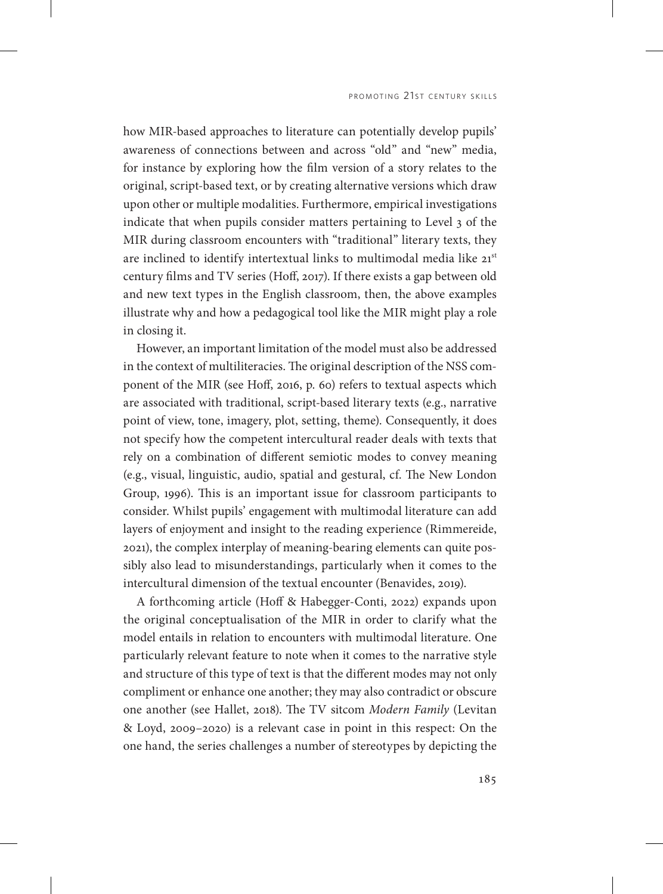how MIR-based approaches to literature can potentially develop pupils' awareness of connections between and across "old" and "new" media, for instance by exploring how the film version of a story relates to the original, script-based text, or by creating alternative versions which draw upon other or multiple modalities. Furthermore, empirical investigations indicate that when pupils consider matters pertaining to Level 3 of the MIR during classroom encounters with "traditional" literary texts, they are inclined to identify intertextual links to multimodal media like 21st century films and TV series (Hoff, 2017). If there exists a gap between old and new text types in the English classroom, then, the above examples illustrate why and how a pedagogical tool like the MIR might play a role in closing it.

However, an important limitation of the model must also be addressed in the context of multiliteracies. The original description of the NSS component of the MIR (see Hoff, 2016, p. 60) refers to textual aspects which are associated with traditional, script-based literary texts (e.g., narrative point of view, tone, imagery, plot, setting, theme). Consequently, it does not specify how the competent intercultural reader deals with texts that rely on a combination of different semiotic modes to convey meaning (e.g., visual, linguistic, audio, spatial and gestural, cf. The New London Group, 1996). This is an important issue for classroom participants to consider. Whilst pupils' engagement with multimodal literature can add layers of enjoyment and insight to the reading experience (Rimmereide, 2021), the complex interplay of meaning-bearing elements can quite possibly also lead to misunderstandings, particularly when it comes to the intercultural dimension of the textual encounter (Benavides, 2019).

A forthcoming article (Hoff & Habegger-Conti, 2022) expands upon the original conceptualisation of the MIR in order to clarify what the model entails in relation to encounters with multimodal literature. One particularly relevant feature to note when it comes to the narrative style and structure of this type of text is that the different modes may not only compliment or enhance one another; they may also contradict or obscure one another (see Hallet, 2018). The TV sitcom *Modern Family* (Levitan & Loyd, 2009–2020) is a relevant case in point in this respect: On the one hand, the series challenges a number of stereotypes by depicting the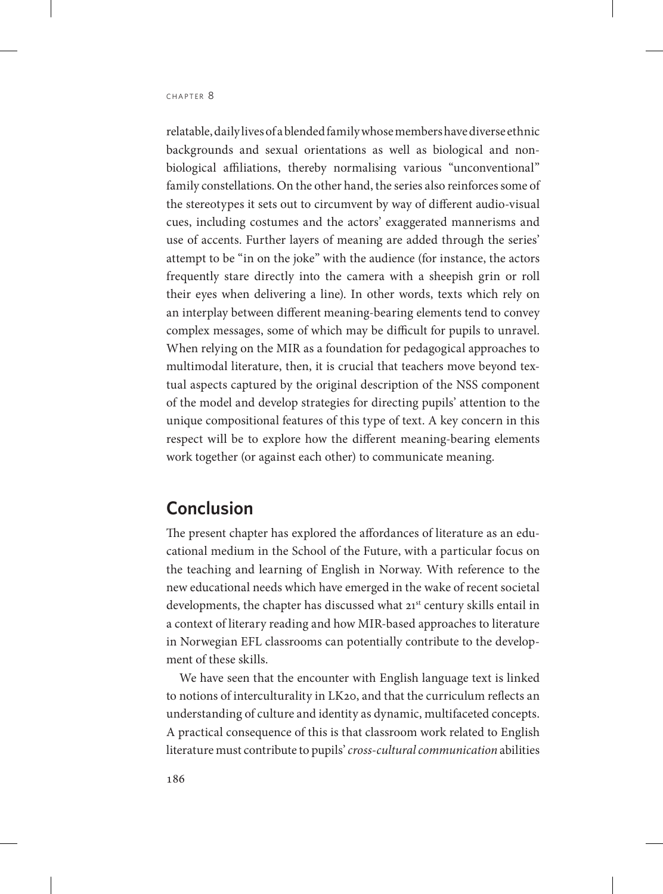relatable, daily lives of a blended family whose members have diverse ethnic backgrounds and sexual orientations as well as biological and nonbiological affiliations, thereby normalising various "unconventional" family constellations. On the other hand, the series also reinforces some of the stereotypes it sets out to circumvent by way of different audio-visual cues, including costumes and the actors' exaggerated mannerisms and use of accents. Further layers of meaning are added through the series' attempt to be "in on the joke" with the audience (for instance, the actors frequently stare directly into the camera with a sheepish grin or roll their eyes when delivering a line). In other words, texts which rely on an interplay between different meaning-bearing elements tend to convey complex messages, some of which may be difficult for pupils to unravel. When relying on the MIR as a foundation for pedagogical approaches to multimodal literature, then, it is crucial that teachers move beyond textual aspects captured by the original description of the NSS component of the model and develop strategies for directing pupils' attention to the unique compositional features of this type of text. A key concern in this respect will be to explore how the different meaning-bearing elements work together (or against each other) to communicate meaning.

## **Conclusion**

The present chapter has explored the affordances of literature as an educational medium in the School of the Future, with a particular focus on the teaching and learning of English in Norway. With reference to the new educational needs which have emerged in the wake of recent societal developments, the chapter has discussed what 21<sup>st</sup> century skills entail in a context of literary reading and how MIR-based approaches to literature in Norwegian EFL classrooms can potentially contribute to the development of these skills.

We have seen that the encounter with English language text is linked to notions of interculturality in LK20, and that the curriculum reflects an understanding of culture and identity as dynamic, multifaceted concepts. A practical consequence of this is that classroom work related to English literature must contribute to pupils' *cross-cultural communication* abilities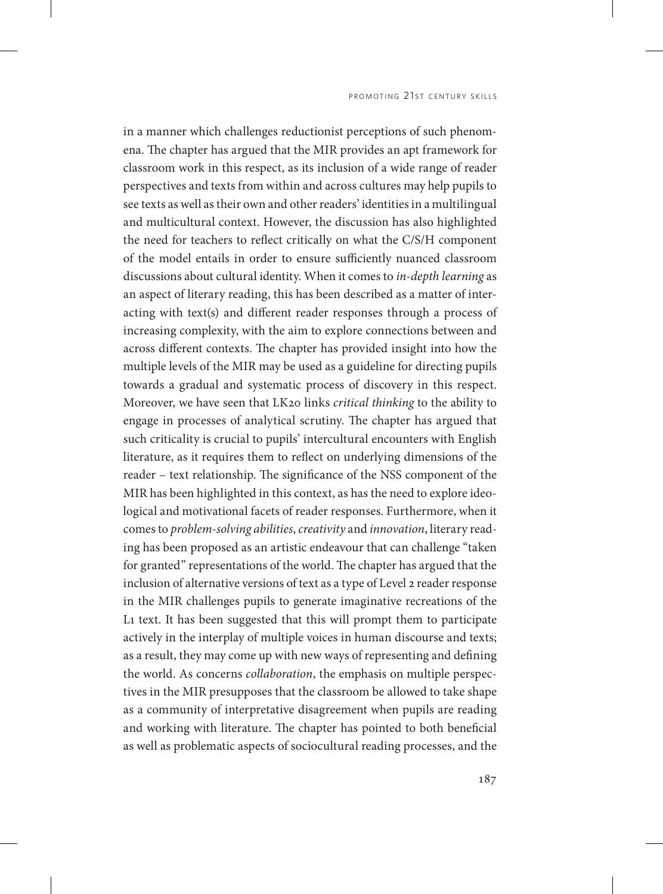in a manner which challenges reductionist perceptions of such phenomena. The chapter has argued that the MIR provides an apt framework for classroom work in this respect, as its inclusion of a wide range of reader perspectives and texts from within and across cultures may help pupils to see texts as well as their own and other readers' identities in a multilingual and multicultural context. However, the discussion has also highlighted the need for teachers to reflect critically on what the C/S/H component of the model entails in order to ensure sufficiently nuanced classroom discussions about cultural identity. When it comes to *in-depth learning* as an aspect of literary reading, this has been described as a matter of interacting with text(s) and different reader responses through a process of increasing complexity, with the aim to explore connections between and across different contexts. The chapter has provided insight into how the multiple levels of the MIR may be used as a guideline for directing pupils towards a gradual and systematic process of discovery in this respect. Moreover, we have seen that LK20 links *critical thinking* to the ability to engage in processes of analytical scrutiny. The chapter has argued that such criticality is crucial to pupils' intercultural encounters with English literature, as it requires them to reflect on underlying dimensions of the reader – text relationship. The significance of the NSS component of the MIR has been highlighted in this context, as has the need to explore ideological and motivational facets of reader responses. Furthermore, when it comes to *problem-solving abilities*, *creativity* and *innovation*, literary reading has been proposed as an artistic endeavour that can challenge "taken for granted" representations of the world. The chapter has argued that the inclusion of alternative versions of text as a type of Level 2 reader response in the MIR challenges pupils to generate imaginative recreations of the L1 text. It has been suggested that this will prompt them to participate actively in the interplay of multiple voices in human discourse and texts; as a result, they may come up with new ways of representing and defining the world. As concerns *collaboration*, the emphasis on multiple perspectives in the MIR presupposes that the classroom be allowed to take shape as a community of interpretative disagreement when pupils are reading and working with literature. The chapter has pointed to both beneficial as well as problematic aspects of sociocultural reading processes, and the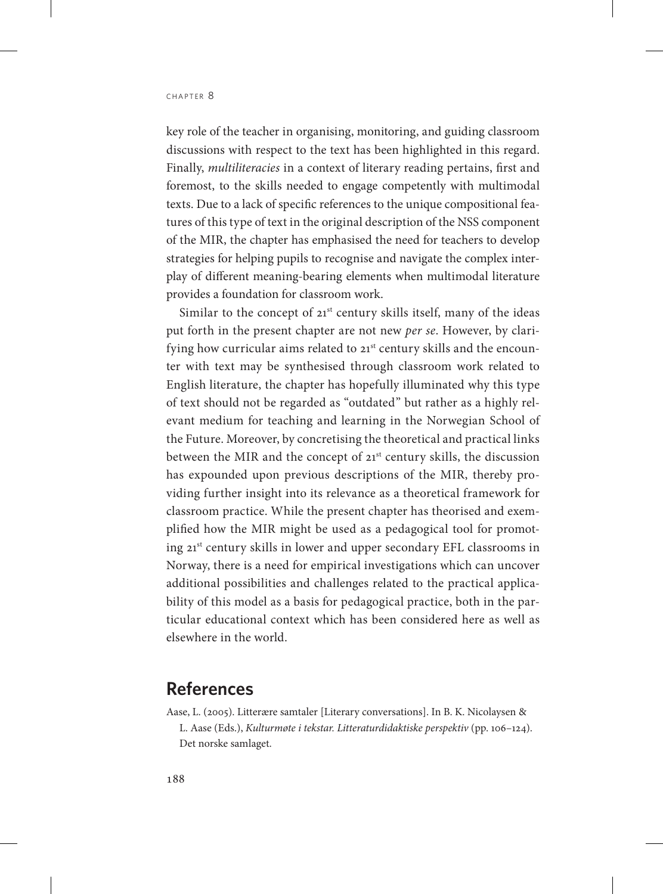key role of the teacher in organising, monitoring, and guiding classroom discussions with respect to the text has been highlighted in this regard. Finally, *multiliteracies* in a context of literary reading pertains, first and foremost, to the skills needed to engage competently with multimodal texts. Due to a lack of specific references to the unique compositional features of this type of text in the original description of the NSS component of the MIR, the chapter has emphasised the need for teachers to develop strategies for helping pupils to recognise and navigate the complex interplay of different meaning-bearing elements when multimodal literature provides a foundation for classroom work.

Similar to the concept of  $21<sup>st</sup>$  century skills itself, many of the ideas put forth in the present chapter are not new *per se*. However, by clarifying how curricular aims related to 21st century skills and the encounter with text may be synthesised through classroom work related to English literature, the chapter has hopefully illuminated why this type of text should not be regarded as "outdated" but rather as a highly relevant medium for teaching and learning in the Norwegian School of the Future. Moreover, by concretising the theoretical and practical links between the MIR and the concept of 21<sup>st</sup> century skills, the discussion has expounded upon previous descriptions of the MIR, thereby providing further insight into its relevance as a theoretical framework for classroom practice. While the present chapter has theorised and exemplified how the MIR might be used as a pedagogical tool for promoting 21st century skills in lower and upper secondary EFL classrooms in Norway, there is a need for empirical investigations which can uncover additional possibilities and challenges related to the practical applicability of this model as a basis for pedagogical practice, both in the particular educational context which has been considered here as well as elsewhere in the world.

#### **References**

Aase, L. (2005). Litterære samtaler [Literary conversations]. In B. K. Nicolaysen & L. Aase (Eds.), *Kulturmøte i tekstar. Litteraturdidaktiske perspektiv* (pp. 106–124). Det norske samlaget.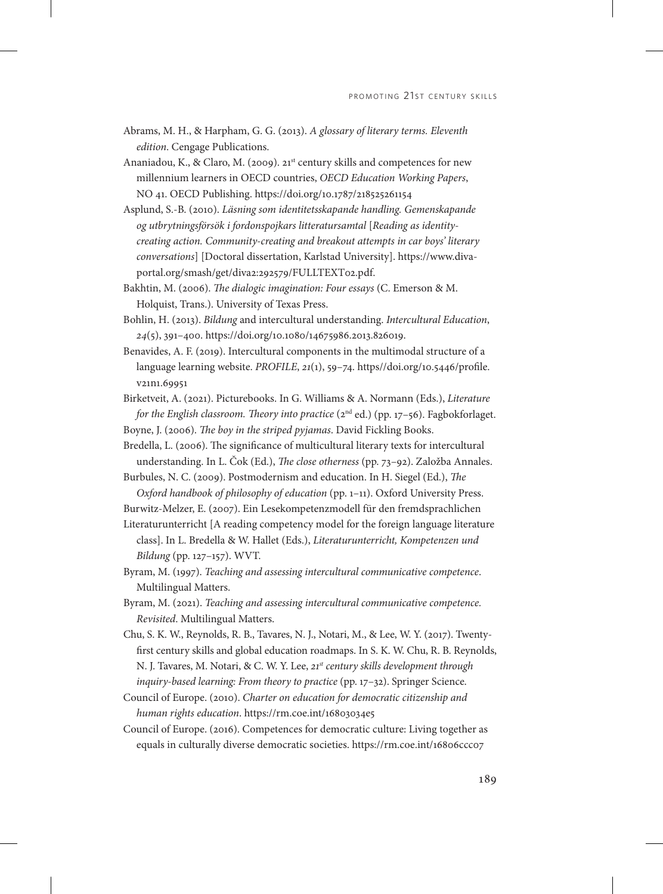- Abrams, M. H., & Harpham, G. G. (2013). *A glossary of literary terms. Eleventh edition*. Cengage Publications.
- Ananiadou, K., & Claro, M. (2009). 21<sup>st</sup> century skills and competences for new millennium learners in OECD countries, *OECD Education Working Papers*, NO 41. OECD Publishing. https://doi.org/10.1787/218525261154
- Asplund, S.-B. (2010). *Läsning som identitetsskapande handling. Gemenskapande og utbrytningsförsök i fordonspojkars litteratursamtal* [*Reading as identitycreating action. Community-creating and breakout attempts in car boys' literary conversations*] [Doctoral dissertation, Karlstad University]. [https://www.diva](https://www.diva-portal.org/smash/get/diva2:292579/FULLTEXT02.pdf)[portal.org/smash/get/diva2:292579/FULLTEXT02.pdf](https://www.diva-portal.org/smash/get/diva2:292579/FULLTEXT02.pdf).
- Bakhtin, M. (2006). *The dialogic imagination: Four essays* (C. Emerson & M. Holquist, Trans.). University of Texas Press.
- Bohlin, H. (2013). *Bildung* and intercultural understanding. *Intercultural Education*, *24*(5), 391–400. https://doi.org/10.1080/14675986.2013.826019.
- Benavides, A. F. (2019). Intercultural components in the multimodal structure of a language learning website. *PROFILE*, *21*(1), 59–74. [https//doi.org/10.5446/profile.](http://https//doi.org/10.5446/profile.v21n1.69951) [v21n1.69951](http://https//doi.org/10.5446/profile.v21n1.69951)
- Birketveit, A. (2021). Picturebooks. In G. Williams & A. Normann (Eds.), *Literature for the English classroom. Theory into practice* (2<sup>nd</sup> ed.) (pp. 17-56). Fagbokforlaget.
- Boyne, J. (2006). *The boy in the striped pyjamas*. David Fickling Books.
- Bredella, L. (2006). The significance of multicultural literary texts for intercultural understanding. In L. Čok (Ed.), *The close otherness* (pp. 73–92). Založba Annales.
- Burbules, N. C. (2009). Postmodernism and education. In H. Siegel (Ed.), *The Oxford handbook of philosophy of education* (pp. 1–11). Oxford University Press.

Burwitz-Melzer, E. (2007). Ein Lesekompetenzmodell für den fremdsprachlichen

Literaturunterricht [A reading competency model for the foreign language literature class]. In L. Bredella & W. Hallet (Eds.), *Literaturunterricht, Kompetenzen und Bildung* (pp. 127–157). WVT.

- Byram, M. (1997). *Teaching and assessing intercultural communicative competence*. Multilingual Matters.
- Byram, M. (2021). *Teaching and assessing intercultural communicative competence. Revisited*. Multilingual Matters.
- Chu, S. K. W., Reynolds, R. B., Tavares, N. J., Notari, M., & Lee, W. Y. (2017). Twentyfirst century skills and global education roadmaps. In S. K. W. Chu, R. B. Reynolds, N. J. Tavares, M. Notari, & C. W. Y. Lee, *21st century skills development through inquiry-based learning: From theory to practice* (pp. 17–32). Springer Science.
- Council of Europe. (2010). *Charter on education for democratic citizenship and human rights education*. https://rm.coe.int/16803034e5
- Council of Europe. (2016). Competences for democratic culture: Living together as equals in culturally diverse democratic societies. https://rm.coe.int/16806ccc07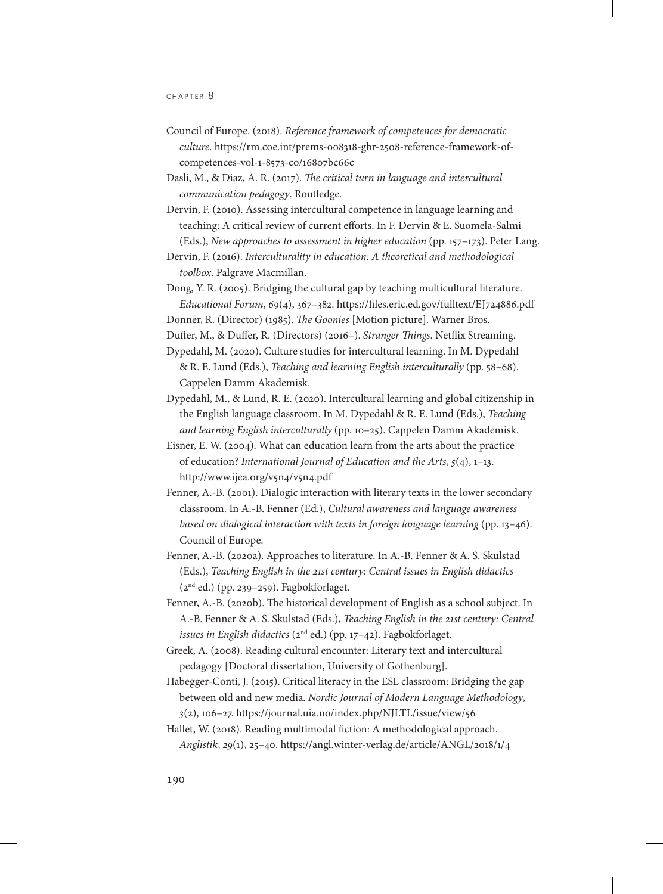- Council of Europe. (2018). *Reference framework of competences for democratic culture*. [https://rm.coe.int/prems-008318-gbr-2508-reference-framework-of](https://rm.coe.int/prems-008318-gbr-2508-reference-framework-of-competences-vol-1-8573-co/16807bc66c)[competences-vol-1-8573-co/16807bc66c](https://rm.coe.int/prems-008318-gbr-2508-reference-framework-of-competences-vol-1-8573-co/16807bc66c)
- Dasli, M., & Diaz, A. R. (2017). *The critical turn in language and intercultural communication pedagogy*. Routledge.
- Dervin, F. (2010). Assessing intercultural competence in language learning and teaching: A critical review of current efforts. In F. Dervin & E. Suomela-Salmi (Eds.), *New approaches to assessment in higher education* (pp. 157–173). Peter Lang.
- Dervin, F. (2016). *Interculturality in education: A theoretical and methodological toolbox*. Palgrave Macmillan.
- Dong, Y. R. (2005). Bridging the cultural gap by teaching multicultural literature. *Educational Forum*, *69*(4), 367–382. https://files.eric.ed.gov/fulltext/EJ724886.pdf
- Donner, R. (Director) (1985). *The Goonies* [Motion picture]. Warner Bros.

Duffer, M., & Duffer, R. (Directors) (2016–). *Stranger Things*. Netflix Streaming.

- Dypedahl, M. (2020). Culture studies for intercultural learning. In M. Dypedahl & R. E. Lund (Eds.), *Teaching and learning English interculturally* (pp. 58–68). Cappelen Damm Akademisk.
- Dypedahl, M., & Lund, R. E. (2020). Intercultural learning and global citizenship in the English language classroom. In M. Dypedahl & R. E. Lund (Eds.), *Teaching and learning English interculturally* (pp. 10–25). Cappelen Damm Akademisk.
- Eisner, E. W. (2004). What can education learn from the arts about the practice of education? *International Journal of Education and the Arts*, *5*(4), 1–13. <http://www.ijea.org/v5n4/v5n4.pdf>
- Fenner, A.-B. (2001). Dialogic interaction with literary texts in the lower secondary classroom. In A.-B. Fenner (Ed.), *Cultural awareness and language awareness based on dialogical interaction with texts in foreign language learning* (pp. 13–46). Council of Europe.
- Fenner, A.-B. (2020a). Approaches to literature. In A.-B. Fenner & A. S. Skulstad (Eds.), *Teaching English in the 21st century: Central issues in English didactics*   $(2<sup>nd</sup> ed.)$  (pp. 239–259). Fagbokforlaget.
- Fenner, A.-B. (2020b). The historical development of English as a school subject. In A.-B. Fenner & A. S. Skulstad (Eds.), *Teaching English in the 21st century: Central issues in English didactics* (2nd ed.) (pp. 17–42). Fagbokforlaget.
- Greek, A. (2008). Reading cultural encounter: Literary text and intercultural pedagogy [Doctoral dissertation, University of Gothenburg].
- Habegger-Conti, J. (2015). Critical literacy in the ESL classroom: Bridging the gap between old and new media. *Nordic Journal of Modern Language Methodology*, *3*(2), 106–27. https://journal.uia.no/index.php/NJLTL/issue/view/56
- Hallet, W. (2018). Reading multimodal fiction: A methodological approach. *Anglistik*, *29*(1), 25–40.<https://angl.winter-verlag.de/article/ANGL/2018/1/4>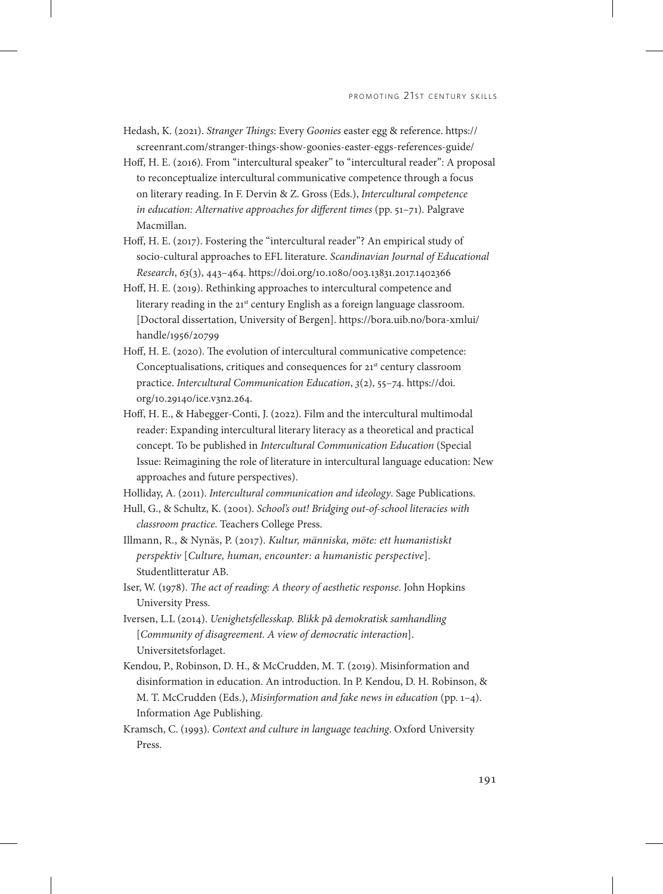- Hedash, K. (2021). *Stranger Things*: Every *Goonies* easter egg & reference. [https://](https://screenrant.com/stranger-things-show-goonies-easter-eggs-references-guide/) [screenrant.com/stranger-things-show-goonies-easter-eggs-references-guide/](https://screenrant.com/stranger-things-show-goonies-easter-eggs-references-guide/)
- Hoff, H. E. (2016). From "intercultural speaker" to "intercultural reader": A proposal to reconceptualize intercultural communicative competence through a focus on literary reading. In F. Dervin & Z. Gross (Eds.), *Intercultural competence in education: Alternative approaches for different times* (pp. 51–71). Palgrave Macmillan.
- Hoff, H. E. (2017). Fostering the "intercultural reader"? An empirical study of socio-cultural approaches to EFL literature. *Scandinavian Journal of Educational Research*, *63*(3), 443–464. https://doi.org/10.1080/003.13831.2017.1402366
- Hoff, H. E. (2019). Rethinking approaches to intercultural competence and literary reading in the  $21^{st}$  century English as a foreign language classroom. [Doctoral dissertation, University of Bergen]. [https://bora.uib.no/bora-xmlui/](https://bora.uib.no/bora-xmlui/handle/1956/20799) [handle/1956/20799](https://bora.uib.no/bora-xmlui/handle/1956/20799)
- Hoff, H. E. (2020). The evolution of intercultural communicative competence: Conceptualisations, critiques and consequences for 21<sup>st</sup> century classroom practice. *Intercultural Communication Education*, *3*(2), 55–74. [https://doi.](https://doi.org/10.29140/ice.v3n2.264) [org/10.29140/ice.v3n2.264.](https://doi.org/10.29140/ice.v3n2.264)
- Hoff, H. E., & Habegger-Conti, J. (2022). Film and the intercultural multimodal reader: Expanding intercultural literary literacy as a theoretical and practical concept. To be published in *Intercultural Communication Education* (Special Issue: Reimagining the role of literature in intercultural language education: New approaches and future perspectives).

Holliday, A. (2011). *Intercultural communication and ideology*. Sage Publications.

- Hull, G., & Schultz, K. (2001). *School's out! Bridging out-of-school literacies with classroom practice*. Teachers College Press.
- Illmann, R., & Nynäs, P. (2017). *Kultur, människa, möte: ett humanistiskt perspektiv* [*Culture, human, encounter: a humanistic perspective*]. Studentlitteratur AB.
- Iser, W. (1978). *The act of reading: A theory of aesthetic response*. John Hopkins University Press.
- Iversen, L.L (2014). *Uenighetsfellesskap. Blikk på demokratisk samhandling* [*Community of disagreement. A view of democratic interaction*]. Universitetsforlaget.
- Kendou, P., Robinson, D. H., & McCrudden, M. T. (2019). Misinformation and disinformation in education. An introduction. In P. Kendou, D. H. Robinson, & M. T. McCrudden (Eds.), *Misinformation and fake news in education* (pp. 1–4). Information Age Publishing.
- Kramsch, C. (1993). *Context and culture in language teaching*. Oxford University Press.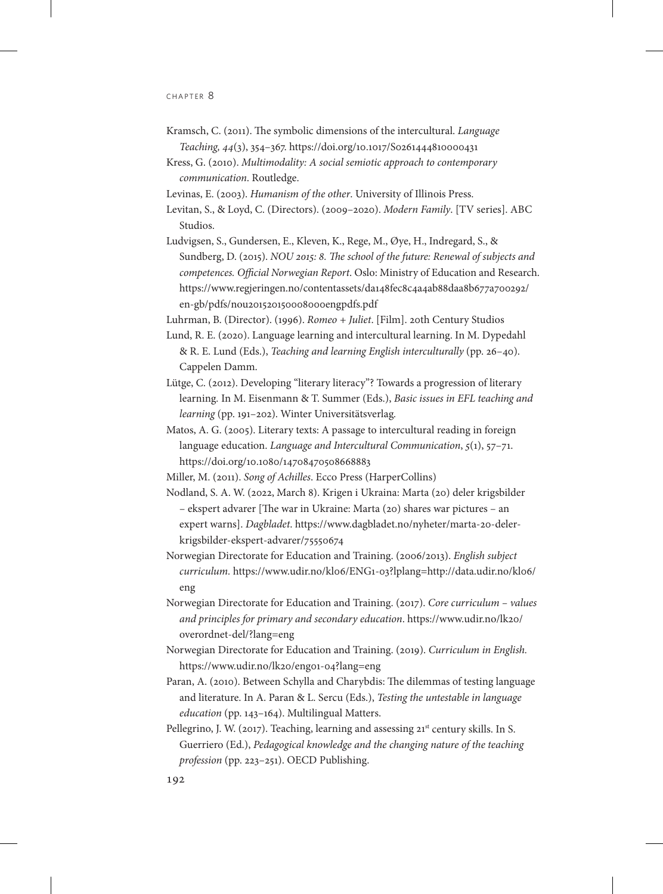- Kramsch, C. (2011). The symbolic dimensions of the intercultural. *Language Teaching, 44*(3), 354–367. <https://doi.org/10.1017/S0261444810000431>
- Kress, G. (2010). *Multimodality: A social semiotic approach to contemporary communication*. Routledge.
- Levinas, E. (2003). *Humanism of the other*. University of Illinois Press.
- Levitan, S., & Loyd, C. (Directors). (2009–2020). *Modern Family*. [TV series]. ABC Studios.
- Ludvigsen, S., Gundersen, E., Kleven, K., Rege, M., Øye, H., Indregard, S., & Sundberg, D. (2015). *NOU 2015: 8. The school of the future: Renewal of subjects and competences. Official Norwegian Report*. Oslo: Ministry of Education and Research. [https://www.regjeringen.no/contentassets/da148fec8c4a4ab88daa8b677a700292/](https://www.regjeringen.no/contentassets/da148fec8c4a4ab88daa8b677a700292/en-gb/pdfs/nou201520150008000engpdfs.pdf) [en-gb/pdfs/nou201520150008000engpdfs.pdf](https://www.regjeringen.no/contentassets/da148fec8c4a4ab88daa8b677a700292/en-gb/pdfs/nou201520150008000engpdfs.pdf)

Luhrman, B. (Director). (1996). *Romeo + Juliet*. [Film]. 20th Century Studios

- Lund, R. E. (2020). Language learning and intercultural learning. In M. Dypedahl & R. E. Lund (Eds.), *Teaching and learning English interculturally* (pp. 26–40). Cappelen Damm.
- Lütge, C. (2012). Developing "literary literacy"? Towards a progression of literary learning*.* In M. Eisenmann & T. Summer (Eds.), *Basic issues in EFL teaching and learning* (pp. 191–202). Winter Universitätsverlag*.*
- Matos, A. G. (2005). Literary texts: A passage to intercultural reading in foreign language education. *Language and Intercultural Communication*, *5*(1), 57–71. <https://doi.org/10.1080/14708470508668883>
- Miller, M. (2011). *Song of Achilles*. Ecco Press (HarperCollins)
- Nodland, S. A. W. (2022, March 8). Krigen i Ukraina: Marta (20) deler krigsbilder – ekspert advarer [The war in Ukraine: Marta (20) shares war pictures – an expert warns]. *Dagbladet*. [https://www.dagbladet.no/nyheter/marta-20-deler](https://www.dagbladet.no/nyheter/marta-20-deler-krigsbilder-ekspert-advarer/75550674)[krigsbilder-ekspert-advarer/75550674](https://www.dagbladet.no/nyheter/marta-20-deler-krigsbilder-ekspert-advarer/75550674)
- Norwegian Directorate for Education and Training. (2006/2013). *English subject curriculum.* [https://www.udir.no/kl06/ENG1-03?lplang=http://data.udir.no/kl06/](https://www.udir.no/kl06/ENG1-03?lplang=http://data.udir.no/kl06/eng) [eng](https://www.udir.no/kl06/ENG1-03?lplang=http://data.udir.no/kl06/eng)
- Norwegian Directorate for Education and Training. (2017). *Core curriculum values and principles for primary and secondary education*. [https://www.udir.no/lk20/](https://www.udir.no/lk20/overordnet-del/?lang=eng) [overordnet-del/?lang=eng](https://www.udir.no/lk20/overordnet-del/?lang=eng)
- Norwegian Directorate for Education and Training. (2019). *Curriculum in English.* <https://www.udir.no/lk20/eng01-04?lang=eng>
- Paran, A. (2010). Between Schylla and Charybdis: The dilemmas of testing language and literature. In A. Paran & L. Sercu (Eds.), *Testing the untestable in language education* (pp. 143–164). Multilingual Matters.
- Pellegrino, J. W. (2017). Teaching, learning and assessing 21<sup>st</sup> century skills. In S. Guerriero (Ed.), *Pedagogical knowledge and the changing nature of the teaching profession* (pp. 223–251). OECD Publishing.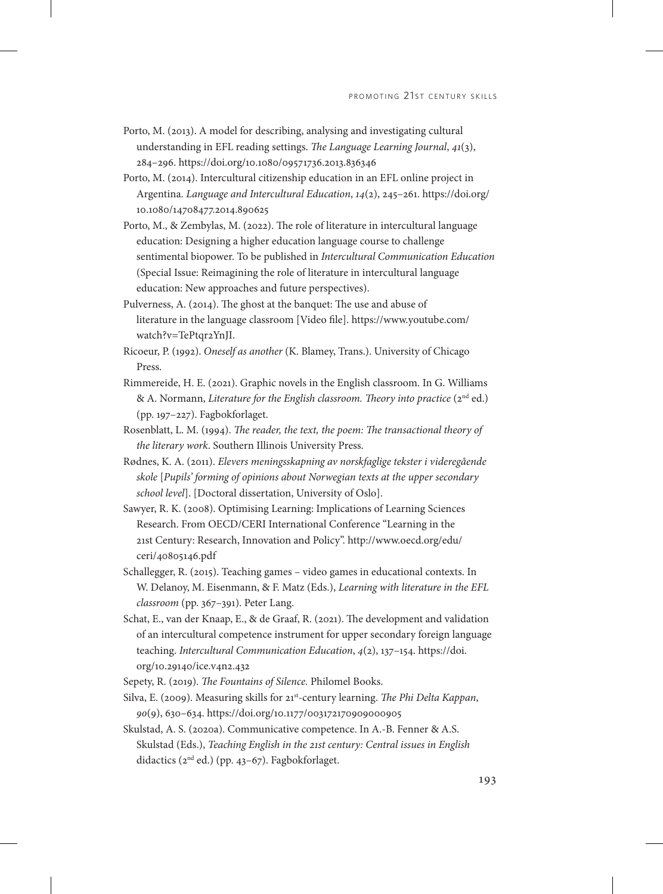- Porto, M. (2013). A model for describing, analysing and investigating cultural understanding in EFL reading settings. *The Language Learning Journal*, *41*(3), 284–296. <https://doi.org/10.1080/09571736.2013.836346>
- Porto, M. (2014). Intercultural citizenship education in an EFL online project in Argentina. *Language and Intercultural Education*, *14*(2), 245–261. [https://doi.org/](https://doi.org/10.1080/14708477.2014.890625) [10.1080/14708477.2014.890625](https://doi.org/10.1080/14708477.2014.890625)
- Porto, M., & Zembylas, M. (2022). The role of literature in intercultural language education: Designing a higher education language course to challenge sentimental biopower. To be published in *Intercultural Communication Education* (Special Issue: Reimagining the role of literature in intercultural language education: New approaches and future perspectives).
- Pulverness, A. (2014). The ghost at the banquet: The use and abuse of literature in the language classroom [Video file]. [https://www.youtube.com/](https://www.youtube.com/watch?v=TePtqr2YnJI) [watch?v=TePtqr2YnJI](https://www.youtube.com/watch?v=TePtqr2YnJI).
- Ricoeur, P. (1992). *Oneself as another* (K. Blamey, Trans.). University of Chicago Press.
- Rimmereide, H. E. (2021). Graphic novels in the English classroom. In G. Williams & A. Normann, *Literature for the English classroom. Theory into practice* (2<sup>nd</sup> ed.) (pp. 197–227). Fagbokforlaget.
- Rosenblatt, L. M. (1994). *The reader, the text, the poem: The transactional theory of the literary work*. Southern Illinois University Press.
- Rødnes, K. A. (2011). *Elevers meningsskapning av norskfaglige tekster i videregående skole* [*Pupils' forming of opinions about Norwegian texts at the upper secondary school level*]. [Doctoral dissertation, University of Oslo].
- Sawyer, R. K. (2008). Optimising Learning: Implications of Learning Sciences Research. From OECD/CERI International Conference "Learning in the 21st Century: Research, Innovation and Policy". [http://www.oecd.org/edu/](http://www.oecd.org/edu/ceri/40805146.pdf) [ceri/40805146.pdf](http://www.oecd.org/edu/ceri/40805146.pdf)
- Schallegger, R. (2015). Teaching games video games in educational contexts. In W. Delanoy, M. Eisenmann, & F. Matz (Eds.), *Learning with literature in the EFL classroom* (pp. 367–391). Peter Lang.
- Schat, E., van der Knaap, E., & de Graaf, R. (2021). The development and validation of an intercultural competence instrument for upper secondary foreign language teaching. *Intercultural Communication Education*, *4*(2), 137–154. [https://doi.](https://doi.org/10.29140/ice.v4n2.432) [org/10.29140/ice.v4n2.432](https://doi.org/10.29140/ice.v4n2.432)
- Sepety, R. (2019). *The Fountains of Silence.* Philomel Books.
- Silva, E. (2009). Measuring skills for 21st-century learning. *The Phi Delta Kappan*, *90*(9), 630–634. [https://doi.org/10.1177/003172170909000905](https://doi.org/10.1177%2F003172170909000905)
- Skulstad, A. S. (2020a). Communicative competence. In A.-B. Fenner & A.S. Skulstad (Eds.), *Teaching English in the 21st century: Central issues in English*  didactics (2nd ed.) (pp. 43–67). Fagbokforlaget.